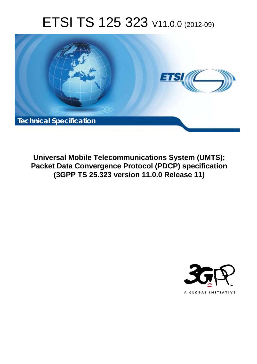# ETSI TS 125 323 V11.0.0 (2012-09)



**Universal Mobile Telecommunications System (UMTS); Packet Data Convergence Protocol (PDCP) specification (3GPP TS 25.323 version 11.0.0 Release 11)** 

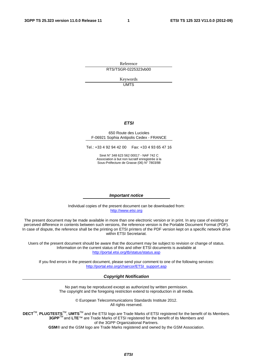Reference RTS/TSGR-0225323vb00

> Keywords UMTS

#### *ETSI*

#### 650 Route des Lucioles F-06921 Sophia Antipolis Cedex - FRANCE

Tel.: +33 4 92 94 42 00 Fax: +33 4 93 65 47 16

Siret N° 348 623 562 00017 - NAF 742 C Association à but non lucratif enregistrée à la Sous-Préfecture de Grasse (06) N° 7803/88

#### *Important notice*

Individual copies of the present document can be downloaded from: [http://www.etsi.org](http://www.etsi.org/)

The present document may be made available in more than one electronic version or in print. In any case of existing or perceived difference in contents between such versions, the reference version is the Portable Document Format (PDF). In case of dispute, the reference shall be the printing on ETSI printers of the PDF version kept on a specific network drive within ETSI Secretariat.

Users of the present document should be aware that the document may be subject to revision or change of status. Information on the current status of this and other ETSI documents is available at <http://portal.etsi.org/tb/status/status.asp>

If you find errors in the present document, please send your comment to one of the following services: [http://portal.etsi.org/chaircor/ETSI\\_support.asp](http://portal.etsi.org/chaircor/ETSI_support.asp)

#### *Copyright Notification*

No part may be reproduced except as authorized by written permission. The copyright and the foregoing restriction extend to reproduction in all media.

> © European Telecommunications Standards Institute 2012. All rights reserved.

DECT<sup>™</sup>, PLUGTESTS<sup>™</sup>, UMTS<sup>™</sup> and the ETSI logo are Trade Marks of ETSI registered for the benefit of its Members. **3GPP**TM and **LTE**™ are Trade Marks of ETSI registered for the benefit of its Members and of the 3GPP Organizational Partners.

**GSM**® and the GSM logo are Trade Marks registered and owned by the GSM Association.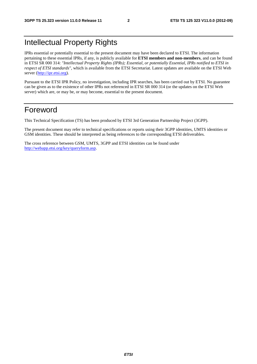### Intellectual Property Rights

IPRs essential or potentially essential to the present document may have been declared to ETSI. The information pertaining to these essential IPRs, if any, is publicly available for **ETSI members and non-members**, and can be found in ETSI SR 000 314: *"Intellectual Property Rights (IPRs); Essential, or potentially Essential, IPRs notified to ETSI in respect of ETSI standards"*, which is available from the ETSI Secretariat. Latest updates are available on the ETSI Web server [\(http://ipr.etsi.org](http://webapp.etsi.org/IPR/home.asp)).

Pursuant to the ETSI IPR Policy, no investigation, including IPR searches, has been carried out by ETSI. No guarantee can be given as to the existence of other IPRs not referenced in ETSI SR 000 314 (or the updates on the ETSI Web server) which are, or may be, or may become, essential to the present document.

### Foreword

This Technical Specification (TS) has been produced by ETSI 3rd Generation Partnership Project (3GPP).

The present document may refer to technical specifications or reports using their 3GPP identities, UMTS identities or GSM identities. These should be interpreted as being references to the corresponding ETSI deliverables.

The cross reference between GSM, UMTS, 3GPP and ETSI identities can be found under [http://webapp.etsi.org/key/queryform.asp.](http://webapp.etsi.org/key/queryform.asp)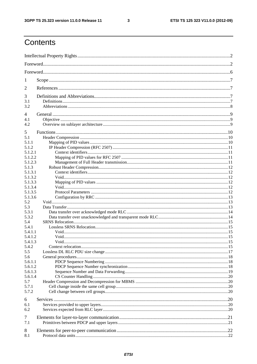$\mathbf{3}$ 

### Contents

| 1       |  |  |  |
|---------|--|--|--|
| 2       |  |  |  |
| 3       |  |  |  |
| 3.1     |  |  |  |
| 3.2     |  |  |  |
| 4       |  |  |  |
| 4.1     |  |  |  |
| 4.2     |  |  |  |
| 5       |  |  |  |
| 5.1     |  |  |  |
| 5.1.1   |  |  |  |
| 5.1.2   |  |  |  |
| 5.1.2.1 |  |  |  |
| 5.1.2.2 |  |  |  |
| 5.1.2.3 |  |  |  |
| 5.1.3   |  |  |  |
| 5.1.3.1 |  |  |  |
| 5.1.3.2 |  |  |  |
| 5.1.3.3 |  |  |  |
| 5.1.3.4 |  |  |  |
| 5.1.3.5 |  |  |  |
| 5.1.3.6 |  |  |  |
| 5.2     |  |  |  |
| 5.3     |  |  |  |
| 5.3.1   |  |  |  |
| 5.3.2   |  |  |  |
| 5.4     |  |  |  |
| 5.4.1   |  |  |  |
| 5.4.1.1 |  |  |  |
| 5.4.1.2 |  |  |  |
| 5.4.1.3 |  |  |  |
| 5.4.2   |  |  |  |
| 5.5     |  |  |  |
| 5.6     |  |  |  |
| 5.6.1.1 |  |  |  |
| 5.6.1.2 |  |  |  |
| 5.6.1.3 |  |  |  |
| 5.6.1.4 |  |  |  |
| 5.7     |  |  |  |
| 5.7.1   |  |  |  |
| 5.7.2   |  |  |  |
| 6       |  |  |  |
| 6.1     |  |  |  |
| 6.2     |  |  |  |
|         |  |  |  |
| 7       |  |  |  |
| 7.1     |  |  |  |
| 8       |  |  |  |
| 8.1     |  |  |  |
|         |  |  |  |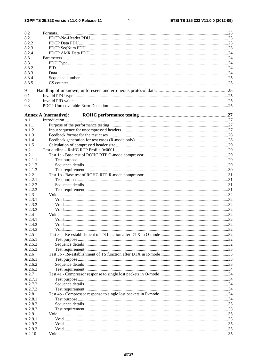$\overline{\mathbf{4}}$ 

| 8.2            |                             |  |
|----------------|-----------------------------|--|
| 8.2.1          |                             |  |
| 8.2.2          |                             |  |
| 8.2.3          |                             |  |
| 8.2.4          |                             |  |
| 8.3            |                             |  |
| 8.3.1          |                             |  |
| 8.3.2          |                             |  |
| 8.3.3          |                             |  |
| 8.3.4          |                             |  |
| 8.3.5          |                             |  |
|                |                             |  |
| 9              |                             |  |
| 9.1            |                             |  |
| 9.2            |                             |  |
| 9.3            |                             |  |
|                |                             |  |
| A.1            | <b>Annex A (normative):</b> |  |
|                |                             |  |
| A.1.1<br>A.1.2 |                             |  |
|                |                             |  |
| A.1.3          |                             |  |
| A.1.4          |                             |  |
| A.1.5          |                             |  |
| A.2            |                             |  |
| A.2.1          |                             |  |
| A.2.1.1        |                             |  |
| A.2.1.2        |                             |  |
| A.2.1.3        |                             |  |
| A.2.2          |                             |  |
| A.2.2.1        |                             |  |
| A.2.2.2        |                             |  |
| A.2.2.3        |                             |  |
| A.2.3          |                             |  |
| A.2.3.1        |                             |  |
| A.2.3.2        |                             |  |
| A.2.3.3        |                             |  |
| A.2.4          |                             |  |
| A.2.4.1        |                             |  |
| A.2.4.2        |                             |  |
| A.2.4.3        |                             |  |
| A.2.5          |                             |  |
| A.2.5.1        |                             |  |
| A.2.5.2        |                             |  |
| A.2.5.3        |                             |  |
| A.2.6          |                             |  |
| A.2.6.1        |                             |  |
| A.2.6.2        |                             |  |
| A.2.6.3        |                             |  |
| A.2.7          |                             |  |
| A.2.7.1        |                             |  |
| A.2.7.2        |                             |  |
| A.2.7.3        |                             |  |
| A.2.8          |                             |  |
| A.2.8.1        |                             |  |
| A.2.8.2        |                             |  |
| A.2.8.3        |                             |  |
| A.2.9          |                             |  |
| A.2.9.1        |                             |  |
| A.2.9.2        |                             |  |
| A.2.9.3        |                             |  |
|                |                             |  |
| A.2.10         |                             |  |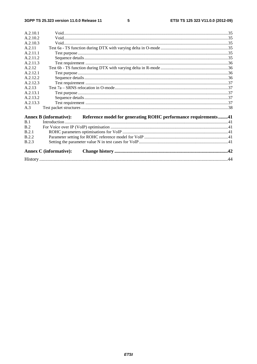| A.2.10.1     |                                                                                       |  |  |  |  |
|--------------|---------------------------------------------------------------------------------------|--|--|--|--|
| A.2.10.2     |                                                                                       |  |  |  |  |
| A.2.10.3     |                                                                                       |  |  |  |  |
| A.2.11       |                                                                                       |  |  |  |  |
| A.2.11.1     |                                                                                       |  |  |  |  |
| A.2.11.2     |                                                                                       |  |  |  |  |
| A 2 1 1 3    |                                                                                       |  |  |  |  |
| A.2.12       |                                                                                       |  |  |  |  |
| A.2.12.1     |                                                                                       |  |  |  |  |
| A 2 1 2 2    |                                                                                       |  |  |  |  |
| A.2.12.3     |                                                                                       |  |  |  |  |
| A.2.13       |                                                                                       |  |  |  |  |
| A.2.13.1     |                                                                                       |  |  |  |  |
| A.2.13.2     |                                                                                       |  |  |  |  |
| A.2.13.3     |                                                                                       |  |  |  |  |
| A.3          |                                                                                       |  |  |  |  |
|              | Annex B (informative): Reference model for generating ROHC performance requirements41 |  |  |  |  |
| B.1          |                                                                                       |  |  |  |  |
| B.2          |                                                                                       |  |  |  |  |
| B.2.1        |                                                                                       |  |  |  |  |
| <b>B.2.2</b> |                                                                                       |  |  |  |  |
| <b>B.2.3</b> |                                                                                       |  |  |  |  |
|              | <b>Annex C</b> (informative):                                                         |  |  |  |  |
|              |                                                                                       |  |  |  |  |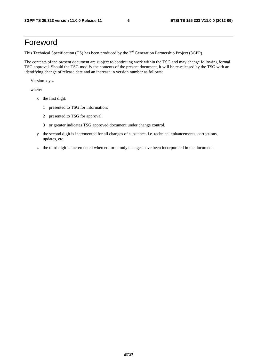### Foreword

This Technical Specification (TS) has been produced by the 3<sup>rd</sup> Generation Partnership Project (3GPP).

The contents of the present document are subject to continuing work within the TSG and may change following formal TSG approval. Should the TSG modify the contents of the present document, it will be re-released by the TSG with an identifying change of release date and an increase in version number as follows:

Version x.y.z

where:

- x the first digit:
	- 1 presented to TSG for information;
	- 2 presented to TSG for approval;
	- 3 or greater indicates TSG approved document under change control.
- y the second digit is incremented for all changes of substance, i.e. technical enhancements, corrections, updates, etc.
- z the third digit is incremented when editorial only changes have been incorporated in the document.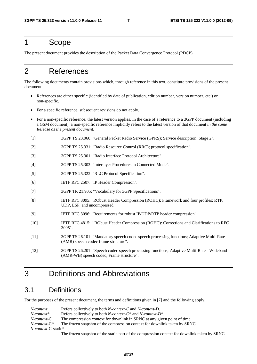### 1 Scope

The present document provides the description of the Packet Data Convergence Protocol (PDCP).

### 2 References

The following documents contain provisions which, through reference in this text, constitute provisions of the present document.

- References are either specific (identified by date of publication, edition number, version number, etc.) or non-specific.
- For a specific reference, subsequent revisions do not apply.
- For a non-specific reference, the latest version applies. In the case of a reference to a 3GPP document (including a GSM document), a non-specific reference implicitly refers to the latest version of that document *in the same Release as the present document*.
- [1] 3GPP TS 23.060: "General Packet Radio Service (GPRS); Service description; Stage 2".
- [2] 3GPP TS 25.331: "Radio Resource Control (RRC); protocol specification".
- [3] 3GPP TS 25.301: "Radio Interface Protocol Architecture".
- [4] 3GPP TS 25.303: "Interlayer Procedures in Connected Mode".
- [5] 3GPP TS 25.322: "RLC Protocol Specification".
- [6] IETF RFC 2507: "IP Header Compression".
- [7] 3GPP TR 21.905: "Vocabulary for 3GPP Specifications".
- [8] IETF RFC 3095: "RObust Header Compression (ROHC): Framework and four profiles: RTP, UDP, ESP, and uncompressed".
- [9] IETF RFC 3096: "Requirements for robust IP/UDP/RTP header compression".
- [10] IETF RFC 4815: " RObust Header Compression (ROHC): Corrections and Clarifications to RFC 3095".
- [11] 3GPP TS 26.101: "Mandatory speech codec speech processing functions; Adaptive Multi-Rate (AMR) speech codec frame structure".
- [12] 3GPP TS 26.201: "Speech codec speech processing functions; Adaptive Multi-Rate Wideband (AMR-WB) speech codec; Frame structure".

### 3 Definitions and Abbreviations

### 3.1 Definitions

For the purposes of the present document, the terms and definitions given in [7] and the following apply.

| N-context                  | Refers collectively to both <i>N-context-C</i> and <i>N-context-D</i> .                           |  |  |
|----------------------------|---------------------------------------------------------------------------------------------------|--|--|
| $N$ -context*              | Refers collectively to both <i>N-context-C</i> <sup>*</sup> and <i>N-context-D</i> <sup>*</sup> . |  |  |
| N-context-C                | The compression context for downlink in SRNC at any given point of time.                          |  |  |
| $N$ -context- $C^*$        | The frozen snapshot of the compression context for downlink taken by SRNC.                        |  |  |
| <i>N-context-C-static*</i> |                                                                                                   |  |  |

The frozen snapshot of the static part of the compression context for downlink taken by SRNC.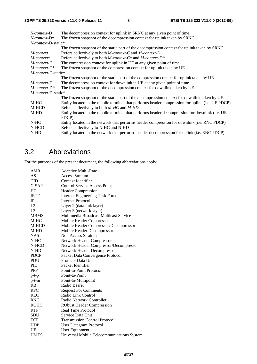| $N$ -context-D                                                                                      | The decompression context for uplink in SRNC at any given point of time.                         |  |  |  |  |
|-----------------------------------------------------------------------------------------------------|--------------------------------------------------------------------------------------------------|--|--|--|--|
| $N$ -context- $D^*$                                                                                 | The frozen snapshot of the decompression context for uplink taken by SRNC.                       |  |  |  |  |
| $N$ -context-D-static*                                                                              |                                                                                                  |  |  |  |  |
|                                                                                                     | The frozen snapshot of the static part of the decompression context for uplink taken by SRNC.    |  |  |  |  |
| M-context                                                                                           | Refers collectively to both <i>M</i> -context-C and <i>M</i> -context-D.                         |  |  |  |  |
| $M$ -context*                                                                                       | Refers collectively to both <i>M</i> -context- $C^*$ and <i>M</i> -context- $D^*$ .              |  |  |  |  |
| $M$ -context-C                                                                                      | The compression context for uplink in UE at any given point of time.                             |  |  |  |  |
| $M$ -context- $C^*$                                                                                 | The frozen snapshot of the compression context for uplink taken by UE.                           |  |  |  |  |
| $M$ -context-C-static*                                                                              |                                                                                                  |  |  |  |  |
|                                                                                                     | The frozen snapshot of the static part of the compression context for uplink taken by UE.        |  |  |  |  |
| <i>M-context-D</i>                                                                                  | The decompression context for downlink in UE at any given point of time.                         |  |  |  |  |
| $M$ -context- $D^*$                                                                                 | The frozen snapshot of the decompression context for downlink taken by UE.                       |  |  |  |  |
| $M$ -context-D-static*                                                                              |                                                                                                  |  |  |  |  |
|                                                                                                     | The frozen snapshot of the static part of the decompression context for downlink taken by UE.    |  |  |  |  |
| M-HC                                                                                                | Entity located in the mobile terminal that performs header compression for uplink (i.e. UE PDCP) |  |  |  |  |
| M-HCD                                                                                               | Refers collectively to both M-HC and M-HD.                                                       |  |  |  |  |
| $M-HD$                                                                                              | Entity located in the mobile terminal that performs header decompression for downlink (i.e. UE   |  |  |  |  |
|                                                                                                     | PDCP)                                                                                            |  |  |  |  |
| N-HC                                                                                                | Entity located in the network that performs header compression for downlink (i.e. RNC PDCP)      |  |  |  |  |
| N-HCD                                                                                               | Refers collectively to N-HC and N-HD                                                             |  |  |  |  |
| Entity located in the network that performs header decompression for uplink (i.e. RNC PDCP)<br>N-HD |                                                                                                  |  |  |  |  |
|                                                                                                     |                                                                                                  |  |  |  |  |

### 3.2 Abbreviations

For the purposes of the present document, the following abbreviations apply:

| <b>AMR</b>  | <b>Adaptive Multi-Rate</b>                 |  |  |  |
|-------------|--------------------------------------------|--|--|--|
| AS          | <b>Access Stratum</b>                      |  |  |  |
| <b>CID</b>  | Context Identifier                         |  |  |  |
| $C-SAP$     | <b>Control Service Access Point</b>        |  |  |  |
| HC          | <b>Header Compression</b>                  |  |  |  |
| <b>IETF</b> | <b>Internet Engineering Task Force</b>     |  |  |  |
| IP          | <b>Internet Protocol</b>                   |  |  |  |
| L2          | Layer 2 (data link layer)                  |  |  |  |
| L3          | Layer 3 (network layer)                    |  |  |  |
| <b>MBMS</b> | Multimedia Broadcast Multicast Service     |  |  |  |
| M-HC        | Mobile Header Compressor                   |  |  |  |
| M-HCD       | Mobile Header Compressor/Decompressor      |  |  |  |
| M-HD        | Mobile Header Decompressor                 |  |  |  |
| <b>NAS</b>  | Non Access Stratum                         |  |  |  |
| $N-HC$      | Network Header Compressor                  |  |  |  |
| N-HCD       | Network Header Compressor/Decompressor     |  |  |  |
| N-HD        | Network Header Decompressor                |  |  |  |
| <b>PDCP</b> | Packet Data Convergence Protocol           |  |  |  |
| <b>PDU</b>  | Protocol Data Unit                         |  |  |  |
| <b>PID</b>  | Packet Identifier                          |  |  |  |
| <b>PPP</b>  | Point-to-Point Protocol                    |  |  |  |
| $p-t-p$     | Point-to-Point                             |  |  |  |
| $p$ -t- $m$ | Point-to-Multipoint                        |  |  |  |
| RB          | Radio Bearer                               |  |  |  |
| <b>RFC</b>  | <b>Request For Comments</b>                |  |  |  |
| <b>RLC</b>  | Radio Link Control                         |  |  |  |
| <b>RNC</b>  | Radio Network Controller                   |  |  |  |
| <b>ROHC</b> | <b>RObust Header Compression</b>           |  |  |  |
| <b>RTP</b>  | Real Time Protocol                         |  |  |  |
| <b>SDU</b>  | Service Data Unit                          |  |  |  |
| TCP         | <b>Transmission Control Protocol</b>       |  |  |  |
| <b>UDP</b>  | User Datagram Protocol                     |  |  |  |
| <b>UE</b>   | User Equipment                             |  |  |  |
| <b>UMTS</b> | Universal Mobile Telecommunications System |  |  |  |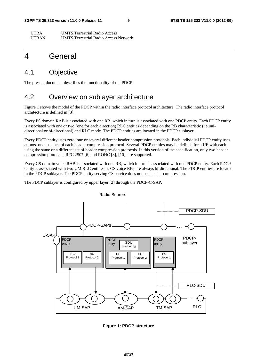| <b>UTRA</b>  | <b>UMTS</b> Terrestrial Radio Access         |
|--------------|----------------------------------------------|
| <b>UTRAN</b> | <b>UMTS</b> Terrestrial Radio Access Network |

### 4 General

### 4.1 Objective

The present document describes the functionality of the PDCP.

### 4.2 Overview on sublayer architecture

Figure 1 shows the model of the PDCP within the radio interface protocol architecture. The radio interface protocol architecture is defined in [3].

Every PS domain RAB is associated with one RB, which in turn is associated with one PDCP entity. Each PDCP entity is associated with one or two (one for each direction) RLC entities depending on the RB characteristic (i.e.unidirectional or bi-directional) and RLC mode. The PDCP entities are located in the PDCP sublayer.

Every PDCP entity uses zero, one or several different header compression protocols. Each individual PDCP entity uses at most one instance of each header compression protocol. Several PDCP entities may be defined for a UE with each using the same or a different set of header compression protocols. In this version of the specification, only two header compression protocols, RFC 2507 [6] and ROHC [8], [10], are supported.

Every CS domain voice RAB is associated with one RB, which in turn is associated with one PDCP entity. Each PDCP entity is associated with two UM RLC entities as CS voice RBs are always bi-directional. The PDCP entities are located in the PDCP sublayer. The PDCP entity serving CS service does not use header compression.

The PDCP sublayer is configured by upper layer [2] through the PDCP-C-SAP.



Radio Bearers

**Figure 1: PDCP structure**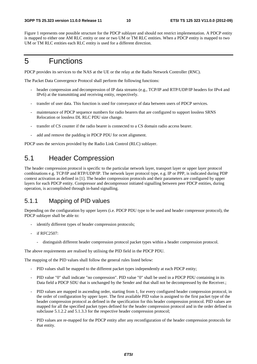Figure 1 represents one possible structure for the PDCP sublayer and should not restrict implementation. A PDCP entity is mapped to either one AM RLC entity or one or two UM or TM RLC entities. When a PDCP entity is mapped to two UM or TM RLC entities each RLC entity is used for a different direction.

### 5 Functions

PDCP provides its services to the NAS at the UE or the relay at the Radio Network Controller (RNC).

The Packet Data Convergence Protocol shall perform the following functions:

- header compression and decompression of IP data streams (e.g., TCP/IP and RTP/UDP/IP headers for IPv4 and IPv6) at the transmitting and receiving entity, respectively.
- transfer of user data. This function is used for conveyance of data between users of PDCP services.
- maintenance of PDCP sequence numbers for radio bearers that are configured to support lossless SRNS Relocation or lossless DL RLC PDU size change.
- transfer of CS counter if the radio bearer is connected to a CS domain radio access bearer.
- add and remove the padding in PDCP PDU for octet alignment.

PDCP uses the services provided by the Radio Link Control (RLC) sublayer.

### 5.1 Header Compression

The header compression protocol is specific to the particular network layer, transport layer or upper layer protocol combinations e.g. TCP/IP and RTP/UDP/IP. The network layer protocol type, e.g. IP or PPP, is indicated during PDP context activation as defined in [1]. The header compression protocols and their parameters are configured by upper layers for each PDCP entity. Compressor and decompressor initiated signalling between peer PDCP entities, during operation, is accomplished through in-band signalling.

### 5.1.1 Mapping of PID values

Depending on the configuration by upper layers (i.e. PDCP PDU type to be used and header compressor protocol), the PDCP sublayer shall be able to:

- identify different types of header compression protocols;
- if RFC2507:
	- distinguish different header compression protocol packet types within a header compression protocol.

The above requirements are realised by utilising the PID field in the PDCP PDU.

The mapping of the PID values shall follow the general rules listed below:

- PID values shall be mapped to the different packet types independently at each PDCP entity;
- PID value "0" shall indicate "no compression". PID value "0" shall be used in a PDCP PDU containing in its Data field a PDCP SDU that is unchanged by the Sender and that shall not be decompressed by the Receiver.:
- PID values are mapped in ascending order, starting from 1, for every configured header compression protocol, in the order of configuration by upper layer. The first available PID value is assigned to the first packet type of the header compression protocol as defined in the specification for this header compression protocol. PID values are mapped for all the specified packet types defined for the header compression protocol and in the order defined in subclause 5.1.2.2 and 5.1.3.3 for the respective header compression protocol;
- PID values are re-mapped for the PDCP entity after any reconfiguration of the header compression protocols for that entity.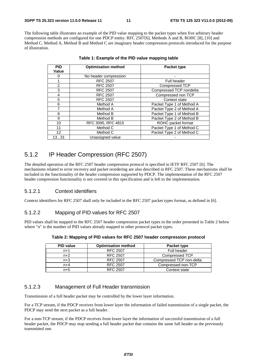The following table illustrates an example of the PID value mapping to the packet types when five arbitrary header compression methods are configured for one PDCP entity: RFC 2507[6], Methods A and B, ROHC [8], [10] and Method C. Method A, Method B and Method C are imaginary header compression protocols introduced for the purpose of illustration.

| <b>PID</b><br>Value | <b>Optimisation method</b> | <b>Packet type</b>        |  |
|---------------------|----------------------------|---------------------------|--|
|                     | No header compression      |                           |  |
|                     | <b>RFC 2507</b>            | <b>Full header</b>        |  |
| 2                   | <b>RFC 2507</b>            | <b>Compressed TCP</b>     |  |
| 3                   | <b>RFC 2507</b>            | Compressed TCP nondelta   |  |
| 4                   | <b>RFC 2507</b>            | Compressed non TCP        |  |
| 5                   | <b>RFC 2507</b>            | Context state             |  |
| 6                   | Method A                   | Packet Type 1 of Method A |  |
| 7                   | Method A                   | Packet Type 2 of Method A |  |
| 8                   | Method B                   | Packet Type 1 of Method B |  |
| 9                   | Method B                   | Packet Type 2 of Method B |  |
| 10                  | RFC 3095, RFC 4815         | ROHC packet format        |  |
| 11                  | Method C                   | Packet Type 1 of Method C |  |
| 12 <sup>2</sup>     | Method C                   | Packet Type 2 of Method C |  |
| 1331                | Unassigned value           |                           |  |

**Table 1: Example of the PID value mapping table** 

### 5.1.2 IP Header Compression (RFC 2507)

The detailed operation of the RFC 2507 header compression protocol is specified in IETF RFC 2507 [6]. The mechanisms related to error recovery and packet reordering are also described in RFC 2507. These mechanisms shall be included in the functionality of the header compression supported by PDCP. The implementation of the RFC 2507 header compression functionality is not covered in this specification and is left to the implementation.

#### 5.1.2.1 Context identifiers

Context identifiers for RFC 2507 shall only be included in the RFC 2507 packet types format, as defined in [6].

#### 5.1.2.2 Mapping of PID values for RFC 2507

PID values shall be mapped to the RFC 2507 header compression packet types in the order presented in Table 2 below where "n" is the number of PID values already mapped to other protocol packet types.

| <b>PID value</b><br><b>Optimisation method</b> |                 | Packet type              |  |
|------------------------------------------------|-----------------|--------------------------|--|
| <b>RFC 2507</b><br>$n+1$                       |                 | <b>Full header</b>       |  |
| <b>RFC 2507</b><br>$n+2$                       |                 | Compressed TCP           |  |
| <b>RFC 2507</b><br>$n+3$                       |                 | Compressed TCP non-delta |  |
| $n+4$                                          | <b>RFC 2507</b> | Compressed non-TCP       |  |
| $n+5$                                          | <b>RFC 2507</b> | Context state            |  |

#### **Table 2: Mapping of PID values for RFC 2507 header compression protocol**

### 5.1.2.3 Management of Full Header transmission

Transmission of a full header packet may be controlled by the lower layer information.

For a TCP stream, if the PDCP receives from lower layer the information of failed transmission of a single packet, the PDCP may send the next packet as a full header.

For a non-TCP stream, if the PDCP receives from lower layer the information of successful transmission of a full header packet, the PDCP may stop sending a full header packet that contains the same full header as the previously transmitted one.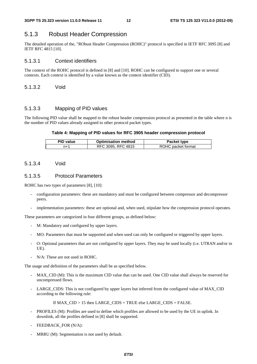### 5.1.3 Robust Header Compression

The detailed operation of the, "RObust Header Compression (ROHC)" protocol is specified in IETF RFC 3095 [8] and IETF RFC 4815 [10].

#### 5.1.3.1 Context identifiers

The context of the ROHC protocol is defined in [8] and [10]. ROHC can be configured to support one or several contexts. Each context is identified by a value known as the context identifier (CID).

5.1.3.2 Void

#### 5.1.3.3 Mapping of PID values

The following PID value shall be mapped to the robust header compression protocol as presented in the table where n is the number of PID values already assigned to other protocol packet types.

#### **Table 4: Mapping of PID values for RFC 3905 header compression protocol**

| <b>PID</b> value | <b>Optimisation method</b> | Packet type        |
|------------------|----------------------------|--------------------|
| n+1              | RFC 3095, RFC 4815         | ROHC packet format |

#### 5.1.3.4 Void

#### 5.1.3.5 Protocol Parameters

ROHC has two types of parameters [8], [10]:

- configuration parameters: these are mandatory and must be configured between compressor and decompressor peers.
- implementation parameters: these are optional and, when used, stipulate how the compression protocol operates.

These parameters are categorized in four different groups, as defined below:

- M: Mandatory and configured by upper layers.
- MO: Parameters that must be supported and when used can only be configured or triggered by upper layers.
- O: Optional parameters that are not configured by upper layers. They may be used locally (i.e. UTRAN and/or in UE).
- N/A: These are not used in ROHC.

The usage and definition of the parameters shall be as specified below.

- MAX\_CID (M): This is the maximum CID value that can be used. One CID value shall always be reserved for uncompressed flows.
- LARGE\_CIDS: This is not configured by upper layers but inferred from the configured value of MAX\_CID according to the following rule:

If MAX\_CID > 15 then LARGE\_CIDS = TRUE else LARGE\_CIDS = FALSE.

- PROFILES (M): Profiles are used to define which profiles are allowed to be used by the UE in uplink. In downlink, all the profiles defined in [8] shall be supported.
- FEEDBACK\_FOR (N/A):
- MRRU (M): Segmentation is not used by default.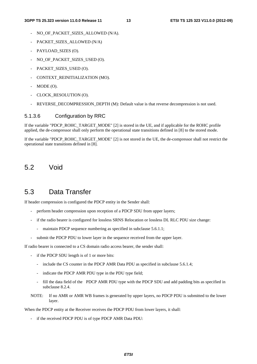- NO\_OF\_PACKET\_SIZES\_ALLOWED (N/A).
- PACKET SIZES ALLOWED (N/A)
- PAYLOAD SIZES (O).
- NO\_OF\_PACKET\_SIZES\_USED (O).
- PACKET\_SIZES\_USED (O).
- CONTEXT\_REINITIALIZATION (MO).
- MODE (O).
- CLOCK\_RESOLUTION (O).
- REVERSE\_DECOMPRESSION\_DEPTH (M): Default value is that reverse decompression is not used.

#### 5.1.3.6 Configuration by RRC

If the variable "PDCP\_ROHC\_TARGET\_MODE" [2] is stored in the UE, and if applicable for the ROHC profile applied, the de-compressor shall only perform the operational state transitions defined in [8] to the stored mode.

If the variable "PDCP\_ROHC\_TARGET\_MODE" [2] is not stored in the UE, the de-compressor shall not restrict the operational state transitions defined in [8].

### 5.2 Void

### 5.3 Data Transfer

If header compression is configured the PDCP entity in the Sender shall:

- perform header compression upon reception of a PDCP SDU from upper layers;
- if the radio bearer is configured for lossless SRNS Relocation or lossless DL RLC PDU size change:
	- maintain PDCP sequence numbering as specified in subclause 5.6.1.1;
- submit the PDCP PDU to lower layer in the sequence received from the upper layer.

If radio bearer is connected to a CS domain radio access bearer, the sender shall:

- if the PDCP SDU length is of 1 or more bits:
	- include the CS counter in the PDCP AMR Data PDU as specified in subclause 5.6.1.4;
	- indicate the PDCP AMR PDU type in the PDU type field;
	- fill the data field of the PDCP AMR PDU type with the PDCP SDU and add padding bits as specified in subclause 8.2.4.
- NOTE: If no AMR or AMR WB frames is generated by upper layers, no PDCP PDU is submitted to the lower layer.

When the PDCP entity at the Receiver receives the PDCP PDU from lower layers, it shall:

if the received PDCP PDU is of type PDCP AMR Data PDU: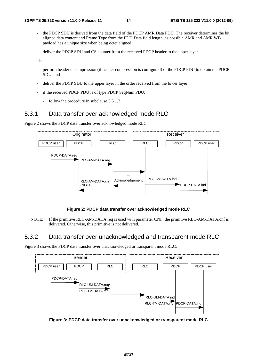- the PDCP SDU is derived from the data field of the PDCP AMR Data PDU. The receiver determines the bit aligned data content and Frame Type from the PDU Data field length, as possible AMR and AMR WB payload has a unique size when being octet aligned;
- deliver the PDCP SDU and CS counter from the received PDCP header to the upper layer.
- else:
	- perform header decompression (if header compression is configured) of the PDCP PDU to obtain the PDCP SDU; and
	- deliver the PDCP SDU to the upper layer in the order received from the lower layer;
	- if the received PDCP PDU is of type PDCP SeqNum PDU:
		- follow the procedure in subclause 5.6.1.2.

### 5.3.1 Data transfer over acknowledged mode RLC

Figure 2 shows the PDCP data transfer over acknowledged mode RLC.



**Figure 2: PDCP data transfer over acknowledged mode RLC** 

NOTE: If the primitive RLC-AM-DATA.req is used with parameter CNF, the primitive RLC-AM-DATA.cnf is delivered. Otherwise, this primitive is not delivered.

### 5.3.2 Data transfer over unacknowledged and transparent mode RLC

Figure 3 shows the PDCP data transfer over unacknowledged or transparent mode RLC.



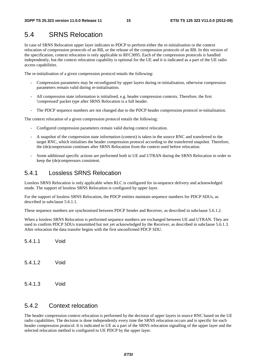### 5.4 SRNS Relocation

In case of SRNS Relocation upper layer indicates to PDCP to perform either the re-initialisation or the context relocation of compression protocols of an RB, or the release of the compression protocols of an RB. In this version of the specification, context relocation is only applicable to RFC3095. Each of the compression protocols is handled independently, but the context relocation capability is optional for the UE and it is indicated as a part of the UE radio access capabilities.

The re-initialisation of a given compression protocol entails the following:

- Compression parameters may be reconfigured by upper layers during re-initialisation, otherwise compression parameters remain valid during re-initialisation.
- All compression state information is initialised, e.g. header compression contexts. Therefore, the first 'compressed' packet type after SRNS Relocation is a full header.
- The PDCP sequence numbers are not changed due to the PDCP header compression protocol re-initialisation.

The context relocation of a given compression protocol entails the following:

- Configured compression parameters remain valid during context relocation.
- A snapshot of the compression state information (context) is taken in the source RNC and transferred to the target RNC, which initialises the header compression protocol according to the transferred snapshot. Therefore, the (de)compression continues after SRNS Relocation from the context used before relocation.
- Some additional specific actions are performed both in UE and UTRAN during the SRNS Relocation in order to keep the (de)compressors consistent.

### 5.4.1 Lossless SRNS Relocation

Lossless SRNS Relocation is only applicable when RLC is configured for in-sequence delivery and acknowledged mode. The support of lossless SRNS Relocation is configured by upper layer.

For the support of lossless SRNS Relocation, the PDCP entities maintain sequence numbers for PDCP SDUs, as described in subclause 5.6.1.1.

These sequence numbers are synchronised between PDCP Sender and Receiver, as described in subclause 5.6.1.2.

When a lossless SRNS Relocation is performed sequence numbers are exchanged between UE and UTRAN. They are used to confirm PDCP SDUs transmitted but not yet acknowledged by the Receiver, as described in subclause 5.6.1.3. After relocation the data transfer begins with the first unconfirmed PDCP SDU.

5.4.1.1 Void

- 5.4.1.2 Void
- 5.4.1.3 Void

### 5.4.2 Context relocation

The header compression context relocation is performed by the decision of upper layers in source RNC based on the UE radio capabilities. The decision is done independently every time the SRNS relocation occurs and is specific for each header compression protocol. It is indicated to UE as a part of the SRNS relocation signalling of the upper layer and the selected relocation method is configured to UE PDCP by the upper layer.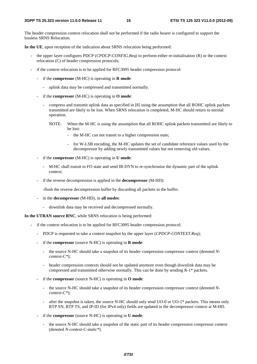The header compression context relocation shall not be performed if the radio bearer is configured to support the lossless SRNS Relocation.

**In the UE**, upon reception of the indication about SRNS relocation being performed:

- the upper layer configures PDCP (*CPDCP-CONFIG.Req*) to perform either re-initialisation (R) or the context relocation (C) of header compression protocols;
- if the context relocation is to be applied for RFC3095 header compression protocol:
	- if the **compressor** (M-HC) is operating in **R mode**:
		- uplink data may be compressed and transmitted normally.
	- if the **compressor** (M-HC) is operating in **O mode**:
		- compress and transmit uplink data as specified in [8] using the assumption that all ROHC uplink packets transmitted are likely to be lost. When SRNS relocation is completed, M-HC should return to normal operation.
			- NOTE: When the M-HC is using the assumption that all ROHC uplink packets transmitted are likely to be lost:
				- the M-HC can not transit to a higher compression state;
				- for W-LSB encoding, the M-HC updates the set of candidate reference values used by the decompressor by adding newly transmitted values but not removing old values.
	- if the **compressor** (M-HC) is operating in **U mode**:
		- M-HC shall transit to FO state and send IR-DYN to re-synchronise the dynamic part of the uplink context.
	- if the reverse decompression is applied in the **decompressor** (M-HD):

-flush the reverse decompression buffer by discarding all packets in the buffer.

- in the **decompressor** (M-HD), in **all modes**:
	- downlink data may be received and decompressed normally.

**In the UTRAN source RNC**, while SRNS relocation is being performed:

- if the context relocation is to be applied for RFC3095 header compression protocol:
	- PDCP is requested to take a context snapshot by the upper layer (*CPDCP-CONTEXT.Req*);
	- if the **compressor** (source N-HC) is operating in **R mode**:
		- the source N-HC should take a snapshot of its header compression compressor context (denoted *Ncontext-C\**);
		- header compression contexts should not be updated anymore even though downlink data may be compressed and transmitted otherwise normally. This can be done by sending R-1\* packets.
	- if the **compressor** (source N-HC) is operating in **O mode**:
		- the source N-HC should take a snapshot of its header compression compressor context (denoted *Ncontext-C\**);
		- after the snapshot is taken, the source N-HC should only send UO-0 or UO-1\* packets. This means only RTP SN, RTP TS, and IP-ID (for IPv4 only) fields are updated in the decompressor context at M-HD.
	- if the **compressor** (source N-HC) is operating in **U mode**:
		- the source N-HC should take a snapshot of the static part of its header compression compressor context (denoted *N-context-C-static\**).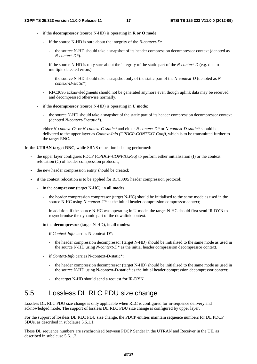- if the **decompressor** (source N-HD) is operating in **R or O mode**:
	- if the source N-HD is sure about the integrity of the *N-context-D:*
		- the source N-HD should take a snapshot of its header compression decompressor context (denoted as *N-context-D\**).
	- if the source N-HD is only sure about the integrity of the static part of the *N-context-D* (e.g. due to multiple detected errors):
		- the source N-HD should take a snapshot only of the static part of the *N-context-D* (denoted as *Ncontext-D-static\**).
	- RFC3095 acknowledgments should not be generated anymore even though uplink data may be received and decompressed otherwise normally.
- if the **decompressor** (source N-HD) is operating in **U mode**:
	- the source N-HD should take a snapshot of the static part of its header compression decompressor context (denoted *N-context-D-static\**).
- either *N-context-C\** or *N-context-C-static\** and either *N-context-D\** or *N-context-D-static\** should be delivered to the upper layer as *Context-Info (CPDCP-CONTEXT.Conf)*, which is to be transmitted further to the target RNC.

**In the UTRAN target RNC**, while SRNS relocation is being performed:

- the upper layer configures PDCP (*CPDCP-CONFIG.Req*) to perform either initialisation (I) or the context relocation (C) of header compression protocols;
- the new header compression entity should be created;
- if the context relocation is to be applied for RFC3095 header compression protocol:
	- in the **compressor** (target N-HC), in **all modes**:
		- the header compression compressor (target N-HC) should be initialised to the same mode as used in the source N-HC using *N-context-C\** as the initial header compression compressor context;
		- in addition, if the source N-HC was operating in U-mode, the target N-HC should first send IR-DYN to resynchronise the dynamic part of the downlink context.
	- in the **decompressor** (target N-HD), in **all modes**:
		- if *Context-Info* carries N-context-D\*:
			- the header compression decompressor (target N-HD) should be initialised to the same mode as used in the source N-HD using *N-context-D\** as the initial header compression decompressor context.
		- if *Context-Info* carries N-context-D-static\*:
			- the header compression decompressor (target N-HD) should be initialised to the same mode as used in the source N-HD using N-context-D-static\* as the initial header compression decompressor context;
			- the target N-HD should send a request for IR-DYN.

### 5.5 Lossless DL RLC PDU size change

Lossless DL RLC PDU size change is only applicable when RLC is configured for in-sequence delivery and acknowledged mode. The support of lossless DL RLC PDU size change is configured by upper layer.

For the support of lossless DL RLC PDU size change, the PDCP entities maintain sequence numbers for DL PDCP SDUs, as described in subclause 5.6.1.1.

These DL sequence numbers are synchronised between PDCP Sender in the UTRAN and Receiver in the UE, as described in subclause 5.6.1.2.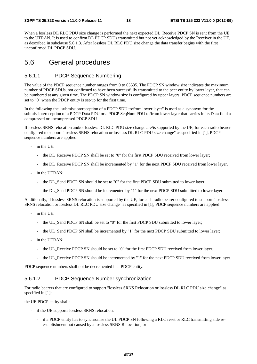When a lossless DL RLC PDU size change is performed the next expected DL\_Receive PDCP SN is sent from the UE to the UTRAN. It is used to confirm DL PDCP SDUs transmitted but not yet acknowledged by the Receiver in the UE, as described in subclause 5.6.1.3. After lossless DL RLC PDU size change the data transfer begins with the first unconfirmed DL PDCP SDU.

### 5.6 General procedures

#### 5.6.1.1 PDCP Sequence Numbering

The value of the PDCP sequence number ranges from 0 to 65535. The PDCP SN window size indicates the maximum number of PDCP SDUs, not confirmed to have been successfully transmitted to the peer entity by lower layer, that can be numbered at any given time. The PDCP SN window size is configured by upper layers. PDCP sequence numbers are set to "0" when the PDCP entity is set-up for the first time.

In the following the "submission/reception of a PDCP SDU to/from lower layer" is used as a synonym for the submission/reception of a PDCP Data PDU or a PDCP SeqNum PDU to/from lower layer that carries in its Data field a compressed or uncompressed PDCP SDU.

If lossless SRNS relocation and/or lossless DL RLC PDU size change are/is supported by the UE, for each radio bearer configured to support "lossless SRNS relocation or lossless DL RLC PDU size change" as specified in [1], PDCP sequence numbers are applied:

- in the UE:
	- the DL\_Receive PDCP SN shall be set to "0" for the first PDCP SDU received from lower layer;
	- the DL\_Receive PDCP SN shall be incremented by "1" for the next PDCP SDU received from lower layer.
- in the UTRAN:
	- the DL\_Send PDCP SN should be set to "0" for the first PDCP SDU submitted to lower layer;
	- the DL\_Send PDCP SN should be incremented by "1" for the next PDCP SDU submitted to lower layer.

Additionally, if lossless SRNS relocation is supported by the UE, for each radio bearer configured to support "lossless SRNS relocation or lossless DL RLC PDU size change" as specified in [1], PDCP sequence numbers are applied:

- in the UE:
	- the UL Send PDCP SN shall be set to "0" for the first PDCP SDU submitted to lower layer;
	- the UL\_Send PDCP SN shall be incremented by "1" for the next PDCP SDU submitted to lower layer;
- in the UTRAN:
	- the UL Receive PDCP SN should be set to "0" for the first PDCP SDU received from lower layer;
	- the UL\_Receive PDCP SN should be incremented by "1" for the next PDCP SDU received from lower layer.

PDCP sequence numbers shall not be decremented in a PDCP entity.

#### 5.6.1.2 PDCP Sequence Number synchronization

For radio bearers that are configured to support "lossless SRNS Relocation or lossless DL RLC PDU size change" as specified in [1]:

the UE PDCP entity shall:

- if the UE supports lossless SRNS relocation,
	- if a PDCP entity has to synchronise the UL PDCP SN following a RLC reset or RLC transmitting side reestablishment not caused by a lossless SRNS Relocation; or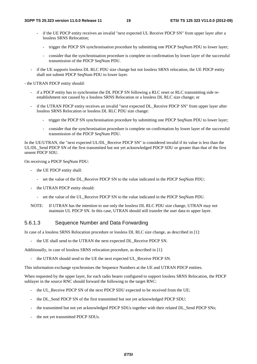- if the UE PDCP entity receives an invalid "next expected UL Receive PDCP SN" from upper layer after a lossless SRNS Relocation;
	- trigger the PDCP SN synchronisation procedure by submitting one PDCP SeqNum PDU to lower layer;
	- consider that the synchronisation procedure is complete on confirmation by lower layer of the successful transmission of the PDCP SeqNum PDU.
- if the UE supports lossless DL RLC PDU size change but not lossless SRNS relocation, the UE PDCP entity shall not submit PDCP SeqNum PDU to lower layer.

- the UTRAN PDCP entity should:

- if a PDCP entity has to synchronise the DL PDCP SN following a RLC reset or RLC transmitting side reestablishment not caused by a lossless SRNS Relocation or a lossless DL RLC size change; or
- if the UTRAN PDCP entity receives an invalid "next expected DL\_Receive PDCP SN" from upper layer after lossless SRNS Relocation or lossless DL RLC PDU size change:
	- trigger the PDCP SN synchronisation procedure by submitting one PDCP SeqNum PDU to lower layer;
	- consider that the synchronisation procedure is complete on confirmation by lower layer of the successful transmission of the PDCP SeqNum PDU.

In the UE/UTRAN, the "next expected UL/DL\_Receive PDCP SN" is considered invalid if its value is less than the UL/DL\_Send PDCP SN of the first transmitted but not yet acknowledged PDCP SDU or greater than that of the first unsent PDCP SDU.

On receiving a PDCP SeqNum PDU:

- the UE PDCP entity shall:
	- set the value of the DL\_Receive PDCP SN to the value indicated in the PDCP SeqNum PDU;
- the UTRAN PDCP entity should:
	- set the value of the UL\_Receive PDCP SN to the value indicated in the PDCP SeqNum PDU.
- NOTE: If UTRAN has the intention to use only the lossless DL RLC PDU size change, UTRAN may not maintain UL PDCP SN. In this case, UTRAN should still transfer the user data to upper layer.

### 5.6.1.3 Sequence Number and Data Forwarding

In case of a lossless SRNS Relocation procedure or lossless DL RLC size change, as described in [1]:

- the UE shall send to the UTRAN the next expected DL\_Receive PDCP SN.

Additionally, in case of lossless SRNS relocation procedure, as described in [1]:

the UTRAN should send to the UE the next expected UL\_Receive PDCP SN.

This information exchange synchronises the Sequence Numbers at the UE and UTRAN PDCP entities.

When requested by the upper layer, for each radio bearer configured to support lossless SRNS Relocation, the PDCP sublayer in the source RNC should forward the following to the target RNC:

- the UL\_Receive PDCP SN of the next PDCP SDU expected to be received from the UE;
- the DL\_Send PDCP SN of the first transmitted but not yet acknowledged PDCP SDU;
- the transmitted but not yet acknowledged PDCP SDUs together with their related DL\_Send PDCP SNs;
- the not yet transmitted PDCP SDUs.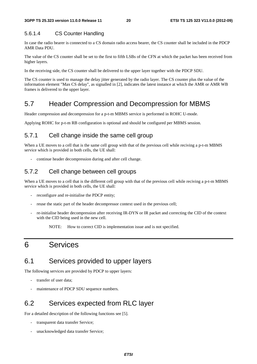### 5.6.1.4 CS Counter Handling

In case the radio bearer is connected to a CS domain radio access bearer, the CS counter shall be included in the PDCP AMR Data PDU.

The value of the CS counter shall be set to the first to fifth LSBs of the CFN at which the packet has been received from higher layers.

In the receiving side, the CS counter shall be delivered to the upper layer together with the PDCP SDU.

The CS counter is used to manage the delay jitter generated by the radio layer. The CS counter plus the value of the information element "Max CS delay", as signalled in [2], indicates the latest instance at which the AMR or AMR WB frames is delivered to the upper layer.

### 5.7 Header Compression and Decompression for MBMS

Header compression and decompression for a p-t-m MBMS service is performed in ROHC U-mode.

Applying ROHC for p-t-m RB configuration is optional and should be configured per MBMS session.

### 5.7.1 Cell change inside the same cell group

When a UE moves to a cell that is the same cell group with that of the previous cell while reciving a p-t-m MBMS service which is provided in both cells, the UE shall:

- continue header decompression during and after cell change.

### 5.7.2 Cell change between cell groups

When a UE moves to a cell that is the different cell group with that of the previous cell while reciving a p-t-m MBMS service which is provided in both cells, the UE shall:

- reconfigure and re-initialise the PDCP entity;
- reuse the static part of the header decompressor context used in the previous cell;
- re-initialise header decompression after receiving IR-DYN or IR packet and correcting the CID of the context with the CID being used in the new cell.

NOTE: How to correct CID is implementation issue and is not specified.

### 6 Services

### 6.1 Services provided to upper layers

The following services are provided by PDCP to upper layers:

- transfer of user data;
- maintenance of PDCP SDU sequence numbers.

### 6.2 Services expected from RLC layer

For a detailed description of the following functions see [5].

- transparent data transfer Service;
- unacknowledged data transfer Service;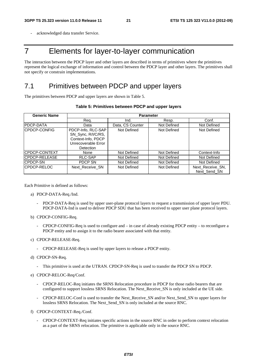acknowledged data transfer Service.

### 7 Elements for layer-to-layer communication

The interaction between the PDCP layer and other layers are described in terms of primitives where the primitives represent the logical exchange of information and control between the PDCP layer and other layers. The primitives shall not specify or constrain implementations.

### 7.1 Primitives between PDCP and upper layers

The primitives between PDCP and upper layers are shown in Table 5.

|              | Table 5: Primitives between PDCP and upper layers |
|--------------|---------------------------------------------------|
| Generic Name | Parameter                                         |

| Generic Name         | Parameter                                                                                                 |                  |             |                                  |  |
|----------------------|-----------------------------------------------------------------------------------------------------------|------------------|-------------|----------------------------------|--|
|                      | Req.                                                                                                      | Ind.             | Resp.       | Conf.                            |  |
| <b>PDCP-DATA</b>     | Data                                                                                                      | Data, CS Counter | Not Defined | Not Defined                      |  |
| ICPDCP-CONFIG        | PDCP-Info, RLC-SAP<br>SN Sync, R/I/C/RS,<br>Context-Info, PDCP<br>Unrecoverable Error<br><b>Detection</b> | Not Defined      | Not Defined | Not Defined                      |  |
| <b>CPDCP-CONTEXT</b> | None                                                                                                      | Not Defined      | Not Defined | Context-Info                     |  |
| ICPDCP-RELEASE       | RLC-SAP                                                                                                   | Not Defined      | Not Defined | Not Defined                      |  |
| <b>CPDCP-SN</b>      | PDCP SN                                                                                                   | Not Defined      | Not Defined | Not Defined                      |  |
| ICPDCP-RELOC         | Next Receive SN                                                                                           | Not Defined      | Not Defined | Next Receive SN.<br>Next Send SN |  |

Each Primitive is defined as follows:

- a) PDCP-DATA-Req./Ind.
	- PDCP-DATA-Req is used by upper user-plane protocol layers to request a transmission of upper layer PDU. PDCP-DATA-Ind is used to deliver PDCP SDU that has been received to upper user plane protocol layers.
- b) CPDCP-CONFIG-Req.
	- CPDCP-CONFIG-Req is used to configure and  $-$  in case of already existing PDCP entity  $-$  to reconfigure a PDCP entity and to assign it to the radio bearer associated with that entity.
- c) CPDCP-RELEASE-Req.
	- CPDCP-RELEASE-Req is used by upper layers to release a PDCP entity.
- d) CPDCP-SN-Req.
	- This primitive is used at the UTRAN. CPDCP-SN-Req is used to transfer the PDCP SN to PDCP.
- e) CPDCP-RELOC-Req/Conf.
	- CPDCP-RELOC-Req initiates the SRNS Relocation procedure in PDCP for those radio bearers that are configured to support lossless SRNS Relocation. The Next\_Receive\_SN is only included at the UE side.
	- CPDCP-RELOC-Conf is used to transfer the Next\_Receive\_SN and/or Next\_Send\_SN to upper layers for lossless SRNS Relocation. The Next\_Send\_SN is only included at the source RNC.
- f) CPDCP-CONTEXT-Req./Conf.
	- CPDCP-CONTEXT-Req initiates specific actions in the source RNC in order to perform context relocation as a part of the SRNS relocation. The primitive is applicable only in the source RNC.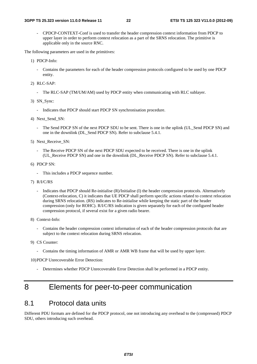- CPDCP-CONTEXT-Conf is used to transfer the header compression context information from PDCP to upper layer in order to perform context relocation as a part of the SRNS relocation. The primitive is applicable only in the source RNC.

The following parameters are used in the primitives:

- 1) PDCP-Info:
	- Contains the parameters for each of the header compression protocols configured to be used by one PDCP entity.
- 2) RLC-SAP:
	- The RLC-SAP (TM/UM/AM) used by PDCP entity when communicating with RLC sublayer.
- 3) SN\_Sync:
	- Indicates that PDCP should start PDCP SN synchronisation procedure.
- 4) Next\_Send\_SN:
	- The Send PDCP SN of the next PDCP SDU to be sent. There is one in the uplink (UL\_Send PDCP SN) and one in the downlink (DL\_Send PDCP SN). Refer to subclause 5.4.1.
- 5) Next\_Receive\_SN:
	- The Receive PDCP SN of the next PDCP SDU expected to be received. There is one in the uplink (UL\_Receive PDCP SN) and one in the downlink (DL\_Receive PDCP SN). Refer to subclause 5.4.1.
- 6) PDCP SN:
	- This includes a PDCP sequence number.
- 7) R/I/C/RS
	- Indicates that PDCP should Re-initialise (R)/Initialise (I) the header compression protocols. Alternatively (Context-relocation, C) it indicates that UE PDCP shall perform specific actions related to context relocation during SRNS relocation. (RS) indicates to Re-initialise while keeping the static part of the header compression (only for ROHC). R/I/C/RS indication is given separately for each of the configured header compression protocol, if several exist for a given radio bearer.
- 8) Context-Info:
	- Contains the header compression context information of each of the header compression protocols that are subject to the context relocation during SRNS relocation.
- 9) CS Counter:
	- Contains the timing information of AMR or AMR WB frame that will be used by upper layer.

10) PDCP Unrecoverable Error Detection:

Determines whether PDCP Unrecoverable Error Detection shall be performed in a PDCP entity.

### 8 Elements for peer-to-peer communication

### 8.1 Protocol data units

Different PDU formats are defined for the PDCP protocol, one not introducing any overhead to the (compressed) PDCP SDU, others introducing such overhead.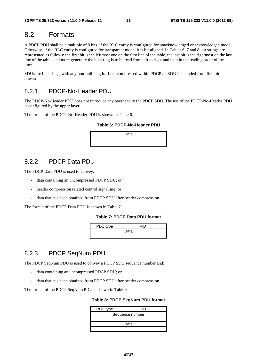### 8.2 Formats

A PDCP PDU shall be a multiple of 8 bits, if the RLC entity is configured for unacknowledged or acknowledged mode. Otherwise, if the RLC entity is configured for transparent mode, it is bit-aligned. In Tables 6, 7 and 8, bit strings are represented as follows: the first bit is the leftmost one on the first line of the table, the last bit is the rightmost on the last line of the table, and more generally the bit string is to be read from left to right and then in the reading order of the lines.

SDUs are bit strings, with any non-null length. If not compressed within PDCP an SDU is included from first bit onward.

### 8.2.1 PDCP-No-Header PDU

The PDCP-No-Header PDU does not introduce any overhead to the PDCP SDU. The use of the PDCP-No-Header PDU is configured by the upper layer.

The format of the PDCP-No-Header PDU is shown in Table 6.

#### **Table 6: PDCP-No-Header PDU**

Data

### 8.2.2 PDCP Data PDU

The PDCP Data PDU is used to convey:

- data containing an uncompressed PDCP SDU; or
- header compression related control signalling; or
- data that has been obtained from PDCP SDU after header compression.

The format of the PDCP Data PDU is shown in Table 7.

#### **Table 7: PDCP Data PDU format**

| PDU type |      |
|----------|------|
|          | Data |
|          |      |

### 8.2.3 PDCP SeqNum PDU

The PDCP SeqNum PDU is used to convey a PDCP SDU sequence number and:

- data containing an uncompressed PDCP SDU; or
- data that has been obtained from PDCP SDU after header compression.

The format of the PDCP SeqNum PDU is shown in Table 8.

#### **Table 8: PDCP SeqNum PDU format**

| PDU type        | PID |  |  |  |  |
|-----------------|-----|--|--|--|--|
| Sequence number |     |  |  |  |  |
|                 |     |  |  |  |  |
| Data            |     |  |  |  |  |
|                 |     |  |  |  |  |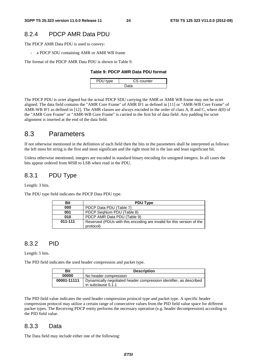### 8.2.4 PDCP AMR Data PDU

The PDCP AMR Data PDU is used to convey:

- a PDCP SDU containing AMR or AMR WB frame

The format of the PDCP AMR Data PDU is shown in Table 9.

#### **Table 9: PDCP AMR Data PDU format**

| $n \rho$ | CS counter |  |  |  |  |
|----------|------------|--|--|--|--|
| ำ        |            |  |  |  |  |

The PDCP PDU is octet aligned but the actual PDCP SDU carrying the AMR or AMR WB frame may not be octet aligned. The data field contains the "AMR Core Frame" of AMR IF1 as defined in [11] or "AMR-WB Core Frame" of AMR-WB IF1 as defined in [12]. The AMR classes are always encoded in the order of class A, B and C, where d(0) of the "AMR Core Frame" or "AMR-WB Core Frame" is carried in the first bit of data field. Any padding for octet alignment is inserted at the end of the data field.

### 8.3 Parameters

If not otherwise mentioned in the definition of each field then the bits in the parameters shall be interpreted as follows: the left most bit string is the first and most significant and the right most bit is the last and least significant bit.

Unless otherwise mentioned, integers are encoded in standard binary encoding for unsigned integers. In all cases the bits appear ordered from MSB to LSB when read in the PDU.

### 8.3.1 PDU Type

Length: 3 bits.

The PDU type field indicates the PDCP Data PDU type.

| <b>Bit</b> | <b>PDU Type</b>                                                                    |
|------------|------------------------------------------------------------------------------------|
| 000        | PDCP Data PDU (Table 7)                                                            |
| 001        | PDCP SegNum PDU (Table 8)                                                          |
| 010        | PDCP AMR Data PDU (Table 9)                                                        |
| 011-111    | Reserved (PDUs with this encoding are invalid for this version of the<br>protocol) |

### 8.3.2 PID

Length: 5 bits.

The PID field indicates the used header compression and packet type.

| Bit         | <b>Description</b>                                                 |  |  |  |  |
|-------------|--------------------------------------------------------------------|--|--|--|--|
| 00000       | No header compression                                              |  |  |  |  |
| 00001-11111 | Dynamically negotiated header compression identifier, as described |  |  |  |  |
|             | in subclause 5.1.1                                                 |  |  |  |  |

The PID field value indicates the used header compression protocol type and packet type. A specific header compression protocol may utilize a certain range of consecutive values from the PID field value space for different packet types. The Receiving PDCP entity performs the necessary operation (e.g. header decompression) according to the PID field value.

#### 8.3.3 Data

The Data field may include either one of the following: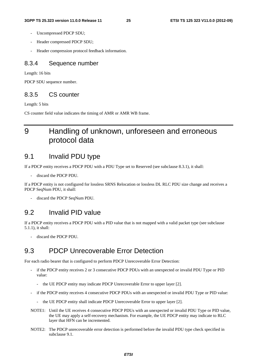- Uncompressed PDCP SDU;
- Header compressed PDCP SDU;
- Header compression protocol feedback information.

#### 8.3.4 Sequence number

Length: 16 bits

PDCP SDU sequence number.

### 8.3.5 CS counter

Length: 5 bits

CS counter field value indicates the timing of AMR or AMR WB frame.

### 9 Handling of unknown, unforeseen and erroneous protocol data

### 9.1 Invalid PDU type

If a PDCP entity receives a PDCP PDU with a PDU Type set to Reserved (see subclause 8.3.1), it shall:

- discard the PDCP PDU.

If a PDCP entity is not configured for lossless SRNS Relocation or lossless DL RLC PDU size change and receives a PDCP SeqNum PDU, it shall:

discard the PDCP SeqNum PDU.

### 9.2 Invalid PID value

If a PDCP entity receives a PDCP PDU with a PID value that is not mapped with a valid packet type (see subclause 5.1.1), it shall:

discard the PDCP PDU.

### 9.3 PDCP Unrecoverable Error Detection

For each radio bearer that is configured to perform PDCP Unrecoverable Error Detection:

- if the PDCP entity receives 2 or 3 consecutive PDCP PDUs with an unexpected or invalid PDU Type or PID value:
	- the UE PDCP entity may indicate PDCP Unrecoverable Error to upper layer [2].
- if the PDCP entity receives 4 consecutive PDCP PDUs with an unexpected or invalid PDU Type or PID value:
	- the UE PDCP entity shall indicate PDCP Unrecoverable Error to upper layer [2].
- NOTE1: Until the UE receives 4 consecutive PDCP PDUs with an unexpected or invalid PDU Type or PID value, the UE may apply a self-recovery mechanism. For example, the UE PDCP entity may indicate to RLC layer that HFN can be incremented.
- NOTE2: The PDCP unrecoverable error detection is performed before the invalid PDU type check specified in subclause 9.1.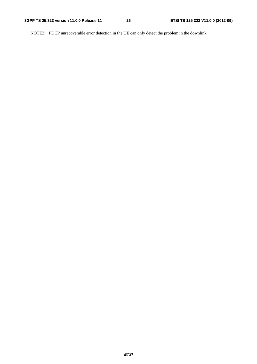NOTE3: PDCP unrecoverable error detection in the UE can only detect the problem in the downlink.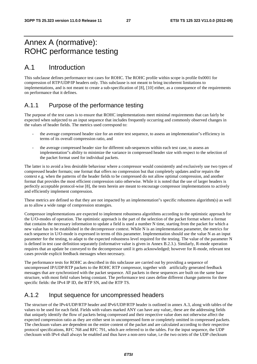### Annex A (normative): ROHC performance testing

### A.1 Introduction

This subclause defines performance test cases for ROHC. The ROHC profile within scope is profile 0x0001 for compression of RTP/UDP/IP headers only. This subclause is not meant to bring incoherent limitations to implementations, and is not meant to create a sub-specification of [8], [10] either, as a consequence of the requirements on performance that it defines.

### A.1.1 Purpose of the performance testing

The purpose of the test cases is to ensure that ROHC implementations meet minimal requirements that can fairly be expected when subjected to an input sequence that includes frequently occurring and commonly observed changes in the values of header fields. The metrics used correspond to:

- the average compressed header size for an entire test sequence, to assess an implementation"s efficiency in terms of its overall compression ratio, and
- the average compressed header size for different sub-sequences within each test case, to assess an implementation"s ability to minimize the variance in compressed header size with respect to the selection of the packet format used for individual packets.

The latter is to avoid a less desirable behaviour where a compressor would consistently and exclusively use two types of compressed header formats; one format that offers no compression but that completely updates and/or repairs the context e.g. when the patterns of the header fields to be compressed do not allow optimal compression, and another format that provides the most efficient compression ratio otherwise. While it is noted that the use of larger headers is perfectly acceptable protocol-wise [8], the tests herein are meant to encourage compressor implementations to actively and efficiently implement compression.

These metrics are defined so that they are not impacted by an implementation"s specific robustness algorithm(s) as well as to allow a wide range of compression strategies.

Compressor implementations are expected to implement robustness algorithms according to the optimistic approach for the U/O-modes of operation. The optimistic approach is the part of the selection of the packet format where a format that contains the necessary information to update a field is used a number N time, starting from the packet for which a new value has to be established in the decompressor context. While N is an implementation parameter, the metrics for each sequence in U/O-mode is expressed in terms of this parameter. Implementation should use the value N as an input parameter for the testing, to adapt to the expected robustness level required for the testing. The value of the parameter N is defined in test case definition separately (informative value is given in Annex B.2.3.). Similarly, R-mode operation requires that an update be conveyed to the decompressor until it gets acknowledged; however for R-mode, relevant test cases provide explicit feedback messages when necessary.

The performance tests for ROHC as described in this subclause are carried out by providing a sequence of uncompressed IP/UDP/RTP packets to the ROHC RTP compressor, together with artificially generated feedback messages that are synchronized with the packet sequence. All packets in these sequences are built on the same base structure, with most field values being constant. The performance test cases define different change patterns for three specific fields: the IPv4 IP ID, the RTP SN, and the RTP TS.

### A.1.2 Input sequence for uncompressed headers

The structure of the IPv4/UDP/RTP header and IPv6/UDP/RTP header is outlined in annex A.3, along with tables of the values to be used for each field. Fields with values marked ANY can have any value;, these are the addressing fields that uniquely identify the flow of packets being compressed and their respective value does not otherwise affect the expected compression ratio as they are either sent in uncompressed form or completely omitted in compressed packets. The checksum values are dependent on the entire content of the packet and are calculated according to their respective protocol specifications, RFC 768 and RFC 791, which are referred to in the tables. For the input sequence, the UDP checksum with IPv4 shall always be enabled and thus have a non-zero value, i.e the two octets of the UDP checksum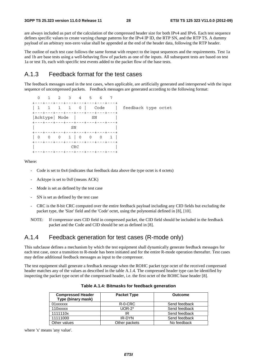are always included as part of the calculation of the compressed header size for both IPv4 and IPv6. Each test sequence defines specific values to create varying change patterns for the IPv4 IP ID, the RTP SN, and the RTP TS. A dummy payload of an arbitrary non-zero value shall be appended at the end of the header data, following the RTP header.

The outline of each test case follows the same format with respect to the input sequences and the requirements. Test 1a and 1b are base tests using a well-behaving flow of packets as one of the inputs. All subsequent tests are based on test 1a or test 1b, each with specific test events added to the packet flow of the base tests.

### A.1.3 Feedback format for the test cases

The feedback messages used in the test cases, when applicable, are artificially generated and interspersed with the input sequence of uncompressed packets. Feedback messages are generated according to the following format:

| $\Omega$                                                                                     | 1 2 3 4 5 6 7 |      |  |                         |                     |  |
|----------------------------------------------------------------------------------------------|---------------|------|--|-------------------------|---------------------|--|
| ---+---+---+---+---+---+---+---+<br>  1 1 1 1 0   Code                                       |               |      |  |                         | feedback type octet |  |
| ---+---+---+---+---+---+---+---+<br> Acktype  Mode   SN<br>+---+---+---+---+---+---+---+---+ |               |      |  |                         |                     |  |
| +---+---+---+---+---+---+---+---+                                                            |               | SN   |  |                         |                     |  |
| 0 0 0 1   0 0 0 1  <br>+---+---+---+---+---+---+---+---+                                     |               |      |  |                         |                     |  |
|                                                                                              |               | CRC. |  | --+---+---+---+---+---+ |                     |  |

Where:

- Code is set to 0x4 (indicates that feedback data above the type octet is 4 octets)
- Acktype is set to 0x0 (means ACK)
- Mode is set as defined by the test case
- SN is set as defined by the test case
- CRC is the 8-bit CRC computed over the entire feedback payload including any CID fields but excluding the packet type, the 'Size' field and the 'Code' octet, using the polynomial defined in [8], [10].
- NOTE: If compressor uses CID field in compressed packet, the CID field should be included in the feedback packet and the Code and CID should be set as defined in [8].

### A.1.4 Feedback generation for test cases (R-mode only)

This subclause defines a mechanism by which the test equipment shall dynamically generate feedback messages for each test case, once a transition to R-mode has been initiated and for the entire R-mode operation thereafter. Test cases may define additional feedback messages as input to the compressor.

The test equipment shall generate a feedback message when the ROHC packet type octet of the received compressed header matches any of the values as described in the table A.1.4. The compressed header type can be identified by inspecting the packet type octet of the compressed header, i.e. the first octet of the ROHC base header [8].

| <b>Compressed Header</b><br>Type (binary mask) | <b>Packet Type</b> | <b>Outcome</b> |
|------------------------------------------------|--------------------|----------------|
| 01xxxxxx                                       | R-0-CRC            | Send feedback  |
| 110xxxxx                                       | $UOR-2*$           | Send feedback  |
| 1111110x                                       | IR                 | Send feedback  |
| 11111000                                       | IR-DYN             | Send feedback  |
| Other values                                   | Other packets      | No feedback    |

|  |  | Table A.1.4: Bitmasks for feedback generation |  |
|--|--|-----------------------------------------------|--|
|--|--|-----------------------------------------------|--|

where 'x' means 'any value'.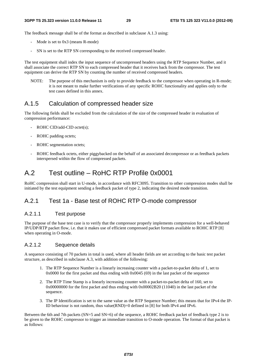The feedback message shall be of the format as described in subclause A.1.3 using:

- Mode is set to 0x3 (means R-mode)
- SN is set to the RTP SN corresponding to the received compressed header.

The test equipment shall index the input sequence of uncompressed headers using the RTP Sequence Number, and it shall associate the correct RTP SN to each compressed header that it receives back from the compressor. The test equipment can derive the RTP SN by counting the number of received compressed headers.

NOTE: The purpose of this mechanism is only to provide feedback to the compressor when operating in R-mode; it is not meant to make further verifications of any specific ROHC functionality and applies only to the test cases defined in this annex.

### A.1.5 Calculation of compressed header size

The following fields shall be excluded from the calculation of the size of the compressed header in evaluation of compression performance:

- ROHC CID/add-CID octet(s);
- ROHC padding octets;
- ROHC segmentation octets:
- ROHC feedback octets, either piggybacked on the behalf of an associated decompressor or as feedback packets interspersed within the flow of compressed packets.

### A.2 Test outline – RoHC RTP Profile 0x0001

RoHC compression shall start in U-mode, in accordance with RFC3095. Transition to other compression modes shall be initiated by the test equipment sending a feedback packet of type 2, indicating the desired mode transition.

### A.2.1 Test 1a - Base test of ROHC RTP O-mode compressor

#### A.2.1.1 Test purpose

The purpose of the base test case is to verify that the compressor properly implements compression for a well-behaved IP/UDP/RTP packet flow, i.e. that it makes use of efficient compressed packet formats available to ROHC RTP [8] when operating in O-mode.

#### A.2.1.2 Sequence details

A sequence consisting of 70 packets in total is used, where all header fields are set according to the basic test packet structure, as described in subclause A.3, with addition of the following:

- 1. The RTP Sequence Number is a linearly increasing counter with a packet-to-packet delta of 1, set to  $0x0000$  for the first packet and thus ending with  $0x0045$  (69) in the last packet of the sequence
- 2. The RTP Time Stamp is a linearly increasing counter with a packet-to-packet delta of 160, set to 0x00000000 for the first packet and thus ending with 0x00002B20 (11040) in the last packet of the sequence.
- 3. The IP Identification is set to the same value as the RTP Sequence Number; this means that for IPv4 the IP-ID behaviour is not random, thus value $(RND)=0$  defined in [8] for both IPv4 and IPv6.

Between the 6th and 7th packets (SN=5 and SN=6) of the sequence, a ROHC feedback packet of feedback type 2 is to be given to the ROHC compressor to trigger an immediate transition to O-mode operation. The format of that packet is as follows: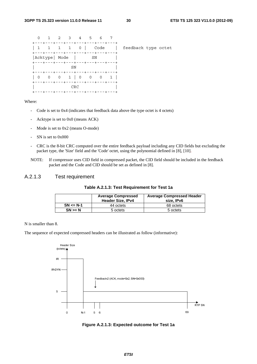| $\Omega$                                                                                      | 1 2 3 4 5 6 7 |     |    |                                |                     |
|-----------------------------------------------------------------------------------------------|---------------|-----|----|--------------------------------|---------------------|
| +---+---+---+---+---+---+---+---+<br>  1 1 1 1 0    Code<br>+---+---+---+---+---+---+---+---+ |               |     |    |                                | feedback type octet |
| Acktype  Mode  <br>+---+---+---+---+---+---+---+---+                                          |               |     | SN |                                |                     |
| +---+---+---+---+---+---+---+---+                                                             |               | SN  |    |                                |                     |
| +---+---+---+---+---+---+---+---+                                                             |               |     |    |                                |                     |
|                                                                                               |               | CRC |    | --+---+---+---+---+---+---+--- |                     |

Where:

- Code is set to 0x4 (indicates that feedback data above the type octet is 4 octets)
- Acktype is set to 0x0 (means ACK)
- Mode is set to 0x2 (means O-mode)
- SN is set to 0x000
- CRC is the 8-bit CRC computed over the entire feedback payload including any CID fields but excluding the packet type, the 'Size' field and the 'Code' octet, using the polynomial defined in [8], [10].
- NOTE: If compressor uses CID field in compressed packet, the CID field should be included in the feedback packet and the Code and CID should be set as defined in [8].

### A.2.1.3 Test requirement

#### **Table A.2.1.3: Test Requirement for Test 1a**

|               | <b>Average Compressed</b><br><b>Header Size, IPv4</b> | <b>Average Compressed Header</b><br>size. IPv6 |
|---------------|-------------------------------------------------------|------------------------------------------------|
| $SN \leq N-1$ | 44 octets                                             | 68 octets                                      |
| $SN \geq N$   | 5 octets                                              | 5 octets                                       |

N is smaller than 8.

The sequence of expected compressed headers can be illustrated as follow (informative):



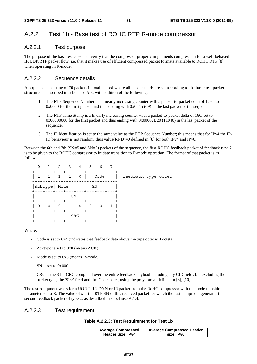### A.2.2 Test 1b - Base test of ROHC RTP R-mode compressor

### A.2.2.1 Test purpose

The purpose of the base test case is to verify that the compressor properly implements compression for a well-behaved IP/UDP/RTP packet flow, i.e. that it makes use of efficient compressed packet formats available to ROHC RTP [8] when operating in R-mode.

#### A.2.2.2 Sequence details

A sequence consisting of 70 packets in total is used where all header fields are set according to the basic test packet structure, as described in subclause A.3, with addition of the following:

- 1. The RTP Sequence Number is a linearly increasing counter with a packet-to-packet delta of 1, set to 0x0000 for the first packet and thus ending with 0x0045 (69) in the last packet of the sequence
- 2. The RTP Time Stamp is a linearly increasing counter with a packet-to-packet delta of 160, set to 0x00000000 for the first packet and thus ending with 0x00002B20 (11040) in the last packet of the sequence.
- 3. The IP Identification is set to the same value as the RTP Sequence Number; this means that for IPv4 the IP-ID behaviour is not random, thus value $(RND)=0$  defined in [8] for both IPv4 and IPv6.

Between the 6th and 7th (SN=5 and SN=6) packets of the sequence, the first ROHC feedback packet of feedback type 2 is to be given to the ROHC compressor to initiate transition to R-mode operation. The format of that packet is as follows:

|                                                                                          | 1 2 3 4 5 6 7 |     |    |  |                     |
|------------------------------------------------------------------------------------------|---------------|-----|----|--|---------------------|
| +---+---+---+---+---+---+---+---+<br>  1 1 1 1 0   Code                                  |               |     |    |  | feedback type octet |
| +---+---+---+---+---+---+---+---+<br> Acktype  Mode<br>+---+---+---+---+---+---+---+---+ |               |     | SN |  |                     |
| +---+---+---+---+---+---+---+---+                                                        | SN            |     |    |  |                     |
|                                                                                          |               |     |    |  |                     |
| +---+---+---+---+---+---+---+---+                                                        |               | CRC |    |  |                     |

#### Where:

- Code is set to 0x4 (indicates that feedback data above the type octet is 4 octets)
- Acktype is set to 0x0 (means ACK)
- Mode is set to 0x3 (means R-mode)
- SN is set to 0x000
- CRC is the 8-bit CRC computed over the entire feedback payload including any CID fields but excluding the packet type, the 'Size' field and the 'Code' octet, using the polynomial defined in [8], [10].

The test equipment waits for a UOR-2, IR-DYN or IR packet from the RoHC compressor with the mode transition parameter set to R. The value of x is the RTP SN of this received packet for which the test equipment generates the second feedback packet of type 2, as described in subclause A.1.4.

#### A.2.2.3 Test requirement

| <b>Average Compressed</b> | <b>Average Compressed Header</b> |
|---------------------------|----------------------------------|
| Header Size, IPv4         | size, IPv6                       |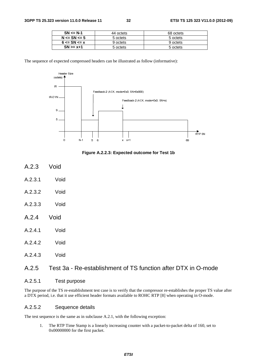| $SN \leq N-1$      | 44 octets | 68 octets |
|--------------------|-----------|-----------|
| $N \leq SN \leq 5$ | 5 octets  | 5 octets  |
| $6 \le$ SN $\le$ x | 9 octets  | 9 octets  |
| $SN \ge x + 1$     | 5 octets  | 5 octets  |

The sequence of expected compressed headers can be illustrated as follow (informative):



**Figure A.2.2.3: Expected outcome for Test 1b** 

- A.2.3 Void
- A.2.3.1 Void
- A.2.3.2 Void
- A.2.3.3 Void
- A.2.4 Void
- A.2.4.1 Void
- A.2.4.2 Void
- A.2.4.3 Void

### A.2.5 Test 3a - Re-establishment of TS function after DTX in O-mode

#### A.2.5.1 Test purpose

The purpose of the TS re-establishment test case is to verify that the compressor re-establishes the proper TS value after a DTX period, i.e. that it use efficient header formats available to ROHC RTP [8] when operating in O-mode.

#### A.2.5.2 Sequence details

The test sequence is the same as in subclause A.2.1, with the following exception:

1. The RTP Time Stamp is a linearly increasing counter with a packet-to-packet delta of 160, set to 0x00000000 for the first packet.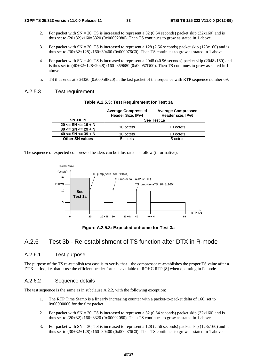- 2. For packet with  $SN = 20$ , TS is increased to represent a 32 (0.64 seconds) packet skip (32x160) and is thus set to  $(20+32)x160=8320$  (0x00002080). Then TS continues to grow as stated in 1 above.
- 3. For packet with SN = 30, TS is increased to represent a 128 (2.56 seconds) packet skip (128x160) and is thus set to  $(30+32+128)x160=30400$   $(0x000076C0)$ . Then TS continues to grow as stated in 1 above.
- 4. For packet with  $SN = 40$ , TS is increased to represent a 2048 (40.96 seconds) packet skip (2048x160) and is thus set to  $(40+32+128+2048)x160=359680 (0x00057D00)$ . Then TS continues to grow as stated in 1 above.
- 5. TS thus ends at 364320 (0x00058F20) in the last packet of the sequence with RTP sequence number 69.

#### A.2.5.3 Test requirement

|                                                      | <b>Average Compressed</b><br><b>Header Size, IPv4</b> | <b>Average Compressed</b><br>Header size, IPv6 |
|------------------------------------------------------|-------------------------------------------------------|------------------------------------------------|
| $SN \leq 19$                                         |                                                       | See Test 1a                                    |
| $20 \leq SN \leq 19 + N$<br>$30 \leq SN \leq 29 + N$ | 10 octets                                             | 10 octets                                      |
| $40 \leq SN \leq 39 + N$                             | 10 octets                                             | 10 octets                                      |
| <b>Other SN values</b>                               | 5 octets                                              | 5 octets                                       |

The sequence of expected compressed headers can be illustrated as follow (informative):



**Figure A.2.5.3: Expected outcome for Test 3a** 

### A.2.6 Test 3b - Re-establishment of TS function after DTX in R-mode

#### A.2.6.1 Test purpose

The purpose of the TS re-establish test case is to verify that the compressor re-establishes the proper TS value after a DTX period, i.e. that it use the efficient header formats available to ROHC RTP [8] when operating in R-mode.

#### A.2.6.2 Sequence details

The test sequence is the same as in subclause A.2.2, with the following exception:

- 1. The RTP Time Stamp is a linearly increasing counter with a packet-to-packet delta of 160, set to 0x00000000 for the first packet.
- 2. For packet with SN = 20, TS is increased to represent a 32 (0.64 seconds) packet skip (32x160) and is thus set to  $(20+32)x160=8320$   $(0x00002080)$ . Then TS continues to grow as stated in 1 above.
- 3. For packet with  $SN = 30$ , TS is increased to represent a 128 (2.56 seconds) packet skip (128x160) and is thus set to  $(30+32+128)x160=30400$   $(0x000076C0)$ . Then TS continues to grow as stated in 1 above.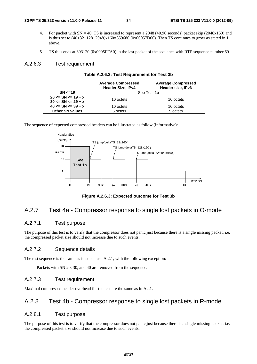- 4. For packet with  $SN = 40$ , TS is increased to represent a 2048 (40.96 seconds) packet skip (2048x160) and is thus set to  $(40+32+128+2048)x160=359680$  (0x00057D00). Then TS continues to grow as stated in 1 above.
- 5. TS thus ends at 393120 (0x0005FFA0) in the last packet of the sequence with RTP sequence number 69.

#### A.2.6.3 Test requirement

|                          | <b>Average Compressed</b><br>Header Size, IPv4 | <b>Average Compressed</b><br>Header size, IPv6 |  |
|--------------------------|------------------------------------------------|------------------------------------------------|--|
| SN < 19                  |                                                | See Test 1b                                    |  |
| $20 \leq SN \leq 19 + x$ | 10 octets                                      | 10 octets                                      |  |
| $30 \leq SN \leq 29 + x$ |                                                |                                                |  |
| $40 \leq SN \leq 39 + x$ | 10 octets                                      | 10 octets                                      |  |
| <b>Other SN values</b>   | 5 octets                                       | 5 octets                                       |  |

|  |  | Table A.2.6.3: Test Requirement for Test 3b |  |  |
|--|--|---------------------------------------------|--|--|
|--|--|---------------------------------------------|--|--|

The sequence of expected compressed headers can be illustrated as follow (informative):



**Figure A.2.6.3: Expected outcome for Test 3b** 

### A.2.7 Test 4a - Compressor response to single lost packets in O-mode

### A.2.7.1 Test purpose

The purpose of this test is to verify that the compressor does not panic just because there is a single missing packet, i.e. the compressed packet size should not increase due to such events.

#### A.2.7.2 Sequence details

The test sequence is the same as in subclause A.2.1, with the following exception:

- Packets with SN 20, 30, and 40 are removed from the sequence.

#### A.2.7.3 Test requirement

Maximal compressed header overhead for the test are the same as in A2.1.

### A.2.8 Test 4b - Compressor response to single lost packets in R-mode

#### A.2.8.1 Test purpose

The purpose of this test is to verify that the compressor does not panic just because there is a single missing packet, i.e. the compressed packet size should not increase due to such events.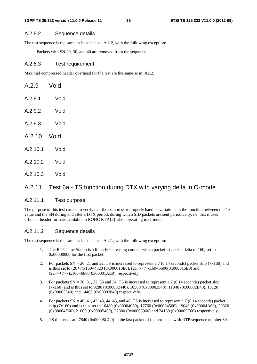#### A.2.8.2 Sequence details

The test sequence is the same as in subclause A.2.2, with the following exception:

Packets with SN 20, 30, and 40 are removed from the sequence.

#### A.2.8.3 Test requirement

Maximal compressed header overhead for the test are the same as in A2.2.

| A.2.9       | Void |
|-------------|------|
| A.2.9.1     | Void |
| A.2.9.2     | Void |
| A.2.9.3     | Void |
|             |      |
| A.2.10 Void |      |
| A.2.10.1    | Void |
| A.2.10.2    | Void |

### A.2.11 Test 6a - TS function during DTX with varying delta in O-mode

#### A.2.11.1 Test purpose

The purpose of this test case is to verify that the compressor properly handles variations in the function between the TS value and the SN during and after a DTX period, during which SID packets are sent periodically, i.e. that it uses efficient header formats available to ROHC RTP [8] when operating in O-mode.

#### A.2.11.2 Sequence details

The test sequence is the same as in subclause A.2.1, with the following exception:

- 1. The RTP Time Stamp is a linearly increasing counter with a packet-to-packet delta of 160, set to 0x00000000 for the first packet.
- 2. For packets  $SN = 20$ , 21 and 22, TS is increased to represent a 7 (0.14 seconds) packet skip (7x160) and is thus set to  $(20+7)x160=4320(0x00010E0)$ ,  $(21+7+7)x160=5600(0x000015E0)$  and  $(22+7+7+7)x160=6880(0x00001AE0)$ , respectively.
- 3. For packets SN = 30, 31, 32, 33 and 34, TS is increased to represent a 7 (0.14 seconds) packet skip (7x160) and is thus set to 9280 (0x00002440), 10560 (0x00002940), 11840 (0x00002E40), 13120 (0x00003340) and 14400 (0x00003840) respectively.
- 4. For packets  $SN = 40, 41, 42, 43, 44, 45,$  and 46, TS is increased to represent a 7 (0.14 seconds) packet skip (7x160) and is thus set to 16480 (0x00004060), 17760 (0x00004560), 19040 (0x00004A60), 20320 (0x00004F60), 21600 (0x00005460), 22880 (0x00005960) and 24160 (0x00005E60) respectively.
- 5. TS thus ends at 27840 (0x00006CC0) in the last packet of the sequence with RTP sequence number 69.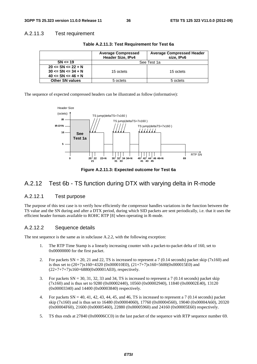#### A.2.11.3 Test requirement

|                          | <b>Average Compressed</b><br>Header Size, IPv4 | <b>Average Compressed Header</b><br>size, IPv6 |  |
|--------------------------|------------------------------------------------|------------------------------------------------|--|
| $SN \le 19$              | See Test 1a                                    |                                                |  |
| $20 \leq SN \leq 22 + N$ |                                                |                                                |  |
| $30 \leq SN \leq 34 + N$ | 15 octets                                      | 15 octets                                      |  |
| $40 \leq SN \leq 46 + N$ |                                                |                                                |  |
| <b>Other SN values</b>   | 5 octets                                       | 5 octets                                       |  |

**Table A.2.11.3: Test Requirement for Test 6a** 

The sequence of expected compressed headers can be illustrated as follow (informative):



**Figure A.2.11.3: Expected outcome for Test 6a** 

### A.2.12 Test 6b - TS function during DTX with varying delta in R-mode

### A.2.12.1 Test purpose

The purpose of this test case is to verify how efficiently the compressor handles variations in the function between the TS value and the SN during and after a DTX period, during which SID packets are sent periodically, i.e. that it uses the efficient header formats available to ROHC RTP [8] when operating in R-mode.

#### A.2.12.2 Sequence details

The test sequence is the same as in subclause A.2.2, with the following exception:

- 1. The RTP Time Stamp is a linearly increasing counter with a packet-to-packet delta of 160, set to 0x00000000 for the first packet.
- 2. For packets  $SN = 20$ , 21 and 22, TS is increased to represent a 7 (0.14 seconds) packet skip (7x160) and is thus set to  $(20+7)x160=4320$  (0x000010E0),  $(21+7+7)x160=5600$  (0x000015E0) and  $(22+7+7+7)x160=6880(0x00001AE0)$ , respectively.
- 3. For packets  $SN = 30, 31, 32, 33$  and 34, TS is increased to represent a 7 (0.14 seconds) packet skip (7x160) and is thus set to 9280 (0x00002440), 10560 (0x00002940), 11840 (0x00002E40), 13120 (0x00003340) and 14400 (0x00003840) respectively.
- 4. For packets  $SN = 40, 41, 42, 43, 44, 45,$  and 46, TS is increased to represent a 7 (0.14 seconds) packet skip (7x160) and is thus set to 16480 (0x00004060), 17760 (0x00004560), 19040 (0x00004A60), 20320 (0x00004F60), 21600 (0x00005460), 22880 (0x00005960) and 24160 (0x00005E60) respectively.
- 5. TS thus ends at 27840 (0x00006CC0) in the last packet of the sequence with RTP sequence number 69.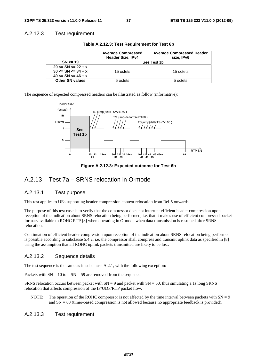#### A.2.12.3 Test requirement

|                          | <b>Average Compressed</b><br>Header Size, IPv4 | <b>Average Compressed Header</b><br>size, IPv6 |  |
|--------------------------|------------------------------------------------|------------------------------------------------|--|
| $SN \leq 19$             | See Test 1b                                    |                                                |  |
| $20 \leq SN \leq 22 + x$ |                                                |                                                |  |
| $30 \leq SN \leq 34 + x$ | 15 octets                                      | 15 octets                                      |  |
| $40 \leq SN \leq 46 + x$ |                                                |                                                |  |
| <b>Other SN values</b>   | 5 octets                                       | 5 octets                                       |  |

**Table A.2.12.3: Test Requirement for Test 6b** 

The sequence of expected compressed headers can be illustrated as follow (informative):



**Figure A.2.12.3: Expected outcome for Test 6b** 

### A.2.13 Test 7a – SRNS relocation in O-mode

#### A.2.13.1 Test purpose

This test applies to UEs supporting header compression context relocation from Rel-5 onwards.

The purpose of this test case is to verify that the compressor does not interrupt efficient header compression upon reception of the indication about SRNS relocation being performed, i.e. that it makes use of efficient compressed packet formats available to ROHC RTP [8] when operating in O-mode when data transmission is resumed after SRNS relocation.

Continuation of efficient header compression upon reception of the indication about SRNS relocation being performed is possible according to subclause 5.4.2, i.e. the compressor shall compress and transmit uplink data as specified in [8] using the assumption that all ROHC uplink packets transmitted are likely to be lost.

#### A.2.13.2 Sequence details

The test sequence is the same as in subclause A.2.1, with the following exception:

Packets with  $SN = 10$  to  $SN = 59$  are removed from the sequence.

SRNS relocation occurs between packet with  $SN = 9$  and packet with  $SN = 60$ , thus simulating a 1s long SRNS relocation that affects compression of the IP/UDP/RTP packet flow.

NOTE: The operation of the ROHC compressor is not affected by the time interval between packets with  $SN = 9$ and  $SN = 60$  (timer-based compression is not allowed because no appropriate feedback is provided).

#### A.2.13.3 Test requirement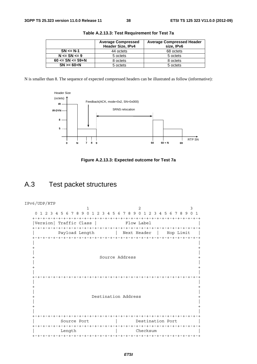|                          | <b>Average Compressed</b><br>Header Size, IPv4 | <b>Average Compressed Header</b><br>size, IPv6 |
|--------------------------|------------------------------------------------|------------------------------------------------|
| $SN \leq N-1$            | 44 octets                                      | 68 octets                                      |
| $N \leq SN \leq 9$       | 5 octets                                       | 5 octets                                       |
| $60 \leq SN \leq 59 + N$ | 8 octets                                       | 8 octets                                       |
| $SN = 60 + N$            | 5 octets                                       | 5 octets                                       |

**Table A.2.13.3: Test Requirement for Test 7a** 

N is smaller than 8. The sequence of expected compressed headers can be illustrated as follow (informative):





### A.3 Test packet structures

IPv6/UDP/RTP 1 2 3 0 1 2 3 4 5 6 7 8 9 0 1 2 3 4 5 6 7 8 9 0 1 2 3 4 5 6 7 8 9 0 1 +-+-+-+-+-+-+-+-+-+-+-+-+-+-+-+-+-+-+-+-+-+-+-+-+-+-+-+-+-+-+-+-+ |Version| Traffic Class | Flow Label +-+-+-+-+-+-+-+-+-+-+-+-+-+-+-+-+-+-+-+-+-+-+-+-+-+-+-+-+-+-+-+-+ Payload Length | Next Header | Hop Limit +-+-+-+-+-+-+-+-+-+-+-+-+-+-+-+-+-+-+-+-+-+-+-+-+-+-+-+-+-+-+-+-+ | | + + | | + Source Address + | | + + | | +-+-+-+-+-+-+-+-+-+-+-+-+-+-+-+-+-+-+-+-+-+-+-+-+-+-+-+-+-+-+-+-+ | | + + | | + Destination Address + | | + + | | +-+-+-+-+-+-+-+-+-+-+-+-+-+-+-+-+-+-+-+-+-+-+-+-+-+-+-+-+-+-+-+-+ | Source Port | Destination Port | +-+-+-+-+-+-+-+-+-+-+-+-+-+-+-+-+-+-+-+-+-+-+-+-+-+-+-+-+-+-+-+-+ Length  $\qquad$  | Checksum +-+-+-+-+-+-+-+-+-+-+-+-+-+-+-+-+-+-+-+-+-+-+-+-+-+-+-+-+-+-+-+-+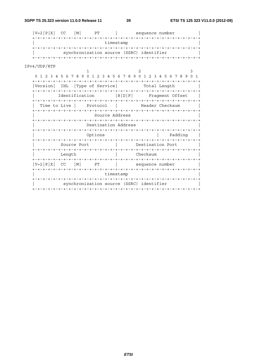39

| $V=2 P X $<br>CC<br>M <sub>1</sub>                              | PT                  |       | sequence number  |                 |
|-----------------------------------------------------------------|---------------------|-------|------------------|-----------------|
|                                                                 |                     |       |                  |                 |
|                                                                 | timestamp           |       |                  |                 |
|                                                                 |                     |       |                  |                 |
| synchronization source (SSRC) identifier                        |                     |       |                  |                 |
|                                                                 |                     |       |                  |                 |
|                                                                 |                     |       |                  |                 |
| IPv4/UDP/RTP                                                    |                     |       |                  |                 |
| ı                                                               |                     |       | 2                | 3               |
| 0 1 2 3 4 5 6 7 8 9 0 1 2 3 4 5 6 7 8 9 0 1 2 3 4 5 6 7 8 9 0 1 |                     |       |                  |                 |
|                                                                 |                     |       |                  |                 |
| Version<br>IHL                                                  | Type of Service     |       |                  | Total Length    |
|                                                                 |                     |       |                  |                 |
| Identification                                                  |                     | R D F |                  | Fraqment Offset |
| +-+-+-+-+-+-+-+-+-+-+-+-+-+-+-+-+-                              |                     |       |                  |                 |
| Time to Live                                                    | Protocol            |       |                  | Header Checksum |
|                                                                 |                     |       |                  |                 |
|                                                                 | Source Address      |       |                  |                 |
|                                                                 |                     |       |                  |                 |
|                                                                 | Destination Address |       |                  |                 |
|                                                                 |                     |       |                  |                 |
|                                                                 | Options             |       |                  | Padding         |
| +-+-+-+-+-+-+-+-+-+-+                                           |                     |       |                  |                 |
| Source Port                                                     |                     |       | Destination Port |                 |
|                                                                 |                     |       |                  |                 |
| Length                                                          |                     |       | Checksum         |                 |
|                                                                 |                     |       |                  |                 |
| $V=2$   $P$   $X$  <br>CC.<br> M                                | PT                  |       | sequence number  |                 |
|                                                                 |                     |       |                  |                 |
|                                                                 |                     |       |                  |                 |
|                                                                 | timestamp           |       |                  |                 |
|                                                                 |                     |       |                  |                 |
| synchronization source (SSRC) identifier                        |                     |       |                  |                 |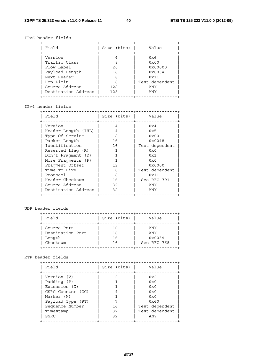#### IPv6 header fields

| Field               | Size (bits) | Value          |
|---------------------|-------------|----------------|
| Version             |             | 0x6            |
| Traffic Class       | 8           | $0 \times 00$  |
| Flow Label          | 20          | 0x00000        |
| Payload Length      | 16          | 0x0034         |
| Next Header         | 8           | 0x11           |
| Hop Limit           | 8           | Test dependent |
| Source Address      | 128         | ANY            |
| Destination Address | 128         | ANY            |

#### IPv4 header fields

| Field               | Size (bits) | Value          |
|---------------------|-------------|----------------|
| Version             | 4           | 0x4            |
| Header Length (IHL) | 4           | 0x5            |
| Type Of Service     | 8           | $0 \times 00$  |
| Packet Length       | 16          | 0x0048         |
| Identification      | 16          | Test dependent |
| Reserved flag (R)   |             | 0x0            |
| Don't Fraqment (D)  |             | 0x1            |
| More Fraqments (F)  |             | 0x0            |
| Fragment Offset     | 13          | 0x0000         |
| Time To Live        | 8           | Test dependent |
| Protocol            | 8           | 0x11           |
| Header Checksum     | 16          | See RFC 791    |
| Source Address      | 32          | ANY            |
| Destination Address | 32          | ANY            |

#### UDP header fields

| Field            | Size (bits) | Value       |
|------------------|-------------|-------------|
| Source Port      | 16          | ANY         |
| Destination Port | 16          | ANY         |
| Length           | 16          | 0x0034      |
| Checksum         | 16          | See RFC 768 |

#### RTP header fields

| Field             | Size (bits) | Value          |
|-------------------|-------------|----------------|
| Version (V)       |             | 0x2            |
| Padding (P)       |             | 0x0            |
| Extension (X)     |             | 0x0            |
| CSRC Counter (CC) | 4           | 0x0            |
| Marker (M)        |             | 0x0            |
| Payload Type (PT) |             | 0x60           |
| Sequence Number   | 16          | Test dependent |
| Timestamp         | 32          | Test dependent |
| SSRC              | 32          | ANY            |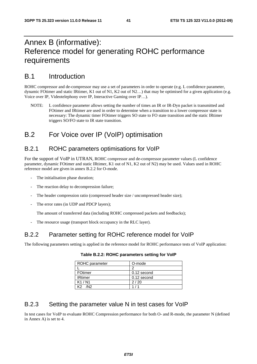### Annex B (informative): Reference model for generating ROHC performance requirements

### B.1 Introduction

ROHC compressor and de-compressor may use a set of parameters in order to operate (e.g. L confidence parameter, dynamic FOtimer and static IRtimer, K1 out of N1, K2 out of N2…) that may be optimised for a given application (e.g. Voice over IP, Videotelephony over IP, Interactive Gaming over IP…).

NOTE: L confidence parameter allows setting the number of times an IR or IR-Dyn packet is transmitted and FOtimer and IRtimer are used in order to determine when a transition to a lower compressor state is necessary: The dynamic timer FOtimer triggers SO state to FO state transition and the static IRtimer triggers SO/FO state to IR state transition.

### B.2 For Voice over IP (VoIP) optimisation

### B.2.1 ROHC parameters optimisations for VoIP

For the support of VoIP in UTRAN, ROHC compressor and de-compressor parameter values (L confidence parameter, dynamic FOtimer and static IRtimer, K1 out of N1, K2 out of N2) may be used. Values used in ROHC reference model are given in annex B.2.2 for O-mode.

- The initialisation phase duration;
- The reaction delay to decompression failure;
- The header compression ratio (compressed header size / uncompressed header size);
- The error rates (in UDP and PDCP layers);

The amount of transferred data (including ROHC compressed packets and feedbacks);

The resource usage (transport block occupancy in the RLC layer).

### B.2.2 Parameter setting for ROHC reference model for VoIP

The following parameters setting is applied in the reference model for ROHC performance tests of VoIP application:

| ROHC parameter | O-mode      |
|----------------|-------------|
|                |             |
| FOtimer        | 0.12 second |
| <b>IRtimer</b> | 0.12 second |
| K1/N1          | 2/20        |
| /N2            |             |

**Table B.2.2: ROHC parameters setting for VoIP** 

### B.2.3 Setting the parameter value N in test cases for VoIP

In test cases for VoIP to evaluate ROHC Compression performance for both O- and R-mode, the parameter N (defined in Annex A) is set to 4.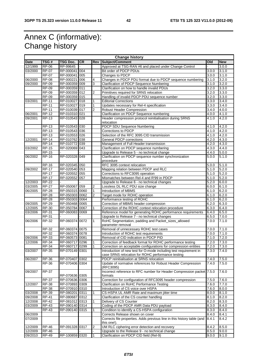### Annex C (informative): Change history

| <b>Change history</b> |                       |                                  |           |                |                                                                                                                                       |                |                 |
|-----------------------|-----------------------|----------------------------------|-----------|----------------|---------------------------------------------------------------------------------------------------------------------------------------|----------------|-----------------|
| <b>Date</b>           | TSG#                  | TSG Doc.                         | <b>CR</b> | <b>Rev</b>     | Subject/Comment                                                                                                                       | Old            | <b>New</b>      |
| 12/1999               | <b>RP-06</b>          | RP-99645                         |           |                | Approved at TSG-RAN #6 and placed under Change Control                                                                                |                | 3.0.0           |
| 03/2000               | <b>RP-07</b>          | RP-000041                        | 004       |                | Bit order of PDCP PDUs                                                                                                                | 3.0.0          | 3.1.0           |
|                       | $RP-07$               | RP-000041                        | 005       |                | Changes to PDCP                                                                                                                       | 3.0.0          | 3.1.0           |
| 06/2000               | <b>RP-08</b>          | RP-000221                        | 006       | 4              | Changes in PDCP PDU format due to PDCP sequence numbering                                                                             | 3.1.0          | 3.2.0           |
| 09/2000               | <b>RP-09</b>          | RP-000359 009                    |           | 3              | <b>Clarification of PDCP Sequence Numbering</b>                                                                                       | 3.1.0          | 3.2.0           |
|                       | <b>RP-09</b>          | RP-000359                        | 011       |                | Clarification on how to handle invalid PDUs                                                                                           | 3.2.0          | 3.3.0           |
|                       | <b>RP-09</b>          | RP-000359 012                    |           | 2              | Primitives required for SRNS relocation                                                                                               | 3.2.0          | 3.3.0           |
|                       | <b>RP-09</b>          | RP-000359 015                    |           |                | Handling of invalid PDCP PDU sequence number                                                                                          | 3.2.0          | 3.3.0           |
| 03/2001               | <b>RP-11</b>          | RP-010027                        | 018       |                | <b>Editorial Corrections</b>                                                                                                          | 3.3.0          | 3.4.0           |
|                       | <b>RP-11</b>          | RP-010027 019                    |           | 1              | Updates necessary for Rel-4 specification                                                                                             | 3.3.0          | 3.4.0           |
|                       | $RP-11$               | RP-010039 017                    |           | $\overline{2}$ | Robust Header Compression                                                                                                             | 3.4.0          | 4.0.0           |
| 06/2001               | $RP-12$               | RP-010310 021                    |           |                | Clarification on PDCP Sequence numbering                                                                                              | 4.0.0          | 4.1.0           |
| 09/2001               | <b>RP-13</b>          | RP-010543 028                    |           |                | Header compression protocol reinitialisation during SRNS<br>relocation                                                                | 4.1.0          | 4.2.0           |
|                       | <b>RP-13</b>          | RP-010543                        | 030       |                | <b>PDCP SDU Sequence Numbering</b>                                                                                                    | 4.1.0          | 4.2.0           |
|                       | <b>RP-13</b>          | RP-010543 036                    |           |                | Corrections to PDCP                                                                                                                   | 4.1.0          | 4.2.0           |
|                       | <b>RP-13</b>          | RP-010553 026                    |           |                | Selection of the RFC 3095 CID transmission                                                                                            | 4.1.0          | 4.2.0           |
| 12/2001               | <b>RP-14</b>          | RP-010762 038                    |           |                | <b>General PDCP corrections</b>                                                                                                       | 4.2.0          | 4.3.0           |
|                       | <b>RP-14</b>          | RP-010772 039                    |           |                | Management of Full Header transmission                                                                                                | 4.2.0          | 4.3.0           |
| 03/2002               | <b>RP-15</b>          | RP-020069 043                    |           |                | Clarification on PDCP sequence numbering                                                                                              | 4.3.0          | 4.4.0           |
|                       | <b>RP-15</b>          |                                  |           |                | Upgrade to Release 5 - no technical change                                                                                            | 4.4.0          | 5.0.0           |
| 06/2002               | <b>RP-16</b>          | RP-020328 049                    |           |                | Clarification on PDCP sequence number synchronization<br>procedure                                                                    | 5.0.0          | 5.1.0           |
|                       | <b>RP-16</b>          | RP-020345 050                    |           |                | RFC 3095 context relocation                                                                                                           | 5.0.0          | 5.1.0           |
| 09/2002               | <b>RP-17</b>          | RP-020540 053                    |           |                | Mapping relation between PDCP and RLC                                                                                                 | 5.1.0          | 5.2.0           |
|                       | <b>RP-17</b>          | RP-020552 055                    |           |                | Corrections to RFC3095 operation                                                                                                      | 5.1.0          | 5.2.0           |
|                       | <b>RP-17</b>          | RP-020552                        | 057       |                | Mismatches between Rel-4 and R'99 in PDCP                                                                                             | 5.1.0          | 5.2.0           |
| 12/2003               | <b>RP-22</b>          |                                  |           |                | Upgrade to Release 6 - no technical changes                                                                                           | 5.2.0          | 6.0.0           |
| 03/2005               | <b>RP-27</b>          | RP-050067                        | 059       | 2              | Lossless DL RLC PDU size change                                                                                                       | 6.0.0          | 6.1.0           |
| 06/2005               | <b>RP-28</b>          | RP-050315 0060                   |           | 1              | Introduction of MBMS                                                                                                                  | 6.1.0          | 6.2.0           |
|                       | <b>RP-28</b>          | RP-050303 0062                   |           | $\overline{2}$ | Target mode for ROHC operation                                                                                                        | 6.1.0          | 6.2.0           |
|                       | <b>RP-28</b>          | RP-050303 0064                   |           |                | Performance testing of ROHC                                                                                                           | 6.1.0          | 6.2.0           |
| 09/2005               | <b>RP-29</b>          | RP-050468 0065                   |           |                | Correction of MBMS header compression                                                                                                 | 6.2.0          | 6.3.0           |
| 12/2005               | RP-30                 | RP-050784 0067                   |           |                | Correction of the ROHC context relocation procedure                                                                                   | 6.3.0          | 6.4.0           |
| 03/2006               | RP-31                 | RP-060083                        | 0069      |                | Reference model for generating ROHC performance requirements                                                                          | 6.4.0          | 6.5.0           |
|                       | RP-31                 |                                  |           |                | Upgrade to Release 7 - no technical changes                                                                                           | 6.5.0          | 7.0.0           |
| 06/2006               | <b>RP-32</b>          | RP-060374 0072                   |           | 1              | RoHC Segmentation, padding and Packet_sizes_allowed                                                                                   | 7.0.0          | 7.1.0           |
|                       |                       |                                  |           |                | parameter removal                                                                                                                     |                |                 |
|                       | RP-32                 | RP-060374 0075                   |           |                | Removal of unnecessary ROHC test cases                                                                                                | 7.0.0          | 7.1.0           |
|                       | $RP-32$               | RP-060374 0078                   |           |                | Introduction of ROHC test requirements                                                                                                | 7.0.0          | 7.1.0           |
| 09/2006               | $RP-33$               | RP-060573 0081                   |           |                | Removal of CID indication in PDCP PID                                                                                                 | 7.1.0          | 7.2.0           |
| 12/2006               | <b>RP-34</b>          | RP-060717                        | 0296      |                | Correction of feedback format for ROHC performance testing                                                                            | 7.2.0          | 7.3.0           |
| 03/2007               | <b>RP-34</b><br>RP-35 | RP-060717 0299<br>RP-070149 0301 |           |                | Correction on acceptable configurations for compression entities<br>Introduction of new test for O-mode including test requirement in | 7.2.0<br>7.3.0 | 7.3.0<br>17.4.0 |
|                       |                       |                                  |           |                | case SRNS relocation for ROHC performance testing                                                                                     |                |                 |
| 06/2007               | $RP-36$               | RP-070407 0302                   |           |                | PDCP reinitialisation at SRNS relocation                                                                                              | 7.4.0          | 7.5.0           |
|                       | RP-36                 | RP-070406 0304                   |           |                | Update of normative references for Robust Header Compression<br>(RFC3095)                                                             | 7.4.0          | 7.5.0           |
| 09/2007               | <b>RP-37</b>          | RP-070636 0305                   |           |                | Incorrect reference to RFC number for Header Compression packet 7.5.0<br>formats                                                      |                | 7.6.0           |
|                       | <b>RP-37</b>          | RP-070636 0306                   |           |                | Correction for configuration of RFC3095 header compression                                                                            | 7.5.0          | 7.6.0           |
| 12/2007               | <b>RP-38</b>          | RP-070893 0309                   |           |                | Clarification on RoHC Performance Testing                                                                                             | 7.6.0          | 7.7.0           |
|                       | <b>RP-38</b>          | RP-070910 0310                   |           |                | Introduction of CS voice over HSPA                                                                                                    | 7.6.0          | 8.0.0           |
| 03/2008               | RP-39                 | RP-080201 0311                   |           | 1              | CS-HSPA UL AMR Rate and maximum jitter time                                                                                           | 8.0.0          | 8.1.0           |
| 09/2008               | RP-41                 | RP-080687 0312                   |           |                | Clarification of the CS counter handling                                                                                              | 8.1.0          | 8.2.0           |
| 12/2008               | <b>RP-42</b>          | RP-081012 0313                   |           |                | Delivery of CS Counter                                                                                                                | 8.2.0          | 8.3.0           |
| 03/2009               | RP-43                 | RP-090140 0314                   |           |                | Coding of the PDCP AMR Data PDU payload                                                                                               | 8.3.0          | 8.4.0           |
|                       | RP-43                 | RP-090140 0315                   |           |                | Condition to identify a CS-HSPA configuration                                                                                         | 8.3.0          | 8.4.0           |
| 06/2009               |                       |                                  |           |                | Corrects Release shown on cover                                                                                                       | 8.4.0          | 8.4.1           |
| 07/2009               |                       |                                  |           |                | Corrects file properties. Adds previous line in this history table (and<br>this one!).                                                | 8.4.1          | 8.4.2           |
| 12/2009               | <b>RP-46</b>          | RP-091328                        | 0317      | 2              | UM RLC ciphering error detection and recovery                                                                                         | 8.4.2          | 8.5.0           |
|                       | <b>RP-46</b>          |                                  |           |                | Upgrade to the Release 9 - no technical change                                                                                        |                |                 |
| 12/2009<br>09/2010    | RP-49                 | RP-100859 0320                   |           | 1              | Clarification on PDCP CID field (Rel-9)                                                                                               | 8.5.0<br>9.0.0 | 9.0.0<br>9.1.0  |
|                       |                       |                                  |           |                |                                                                                                                                       |                |                 |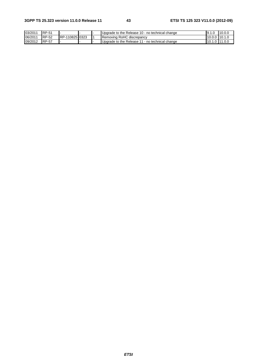| 03/2011 | <b>RP-51</b> |                |  | <b>I</b> Uparade to the Release 10 - no technical change        | 19.1L         | 10.00  |
|---------|--------------|----------------|--|-----------------------------------------------------------------|---------------|--------|
| 06/2011 | <b>RP-52</b> | RP-110825 0323 |  | Removing RoHC discrepancy                                       | 10.0.0 10.1.0 |        |
| 09/2012 | <b>RP-57</b> |                |  | <b>I</b> Upgrade to the Release 11 -<br>l - no technical change | 10.1          | 111.0C |